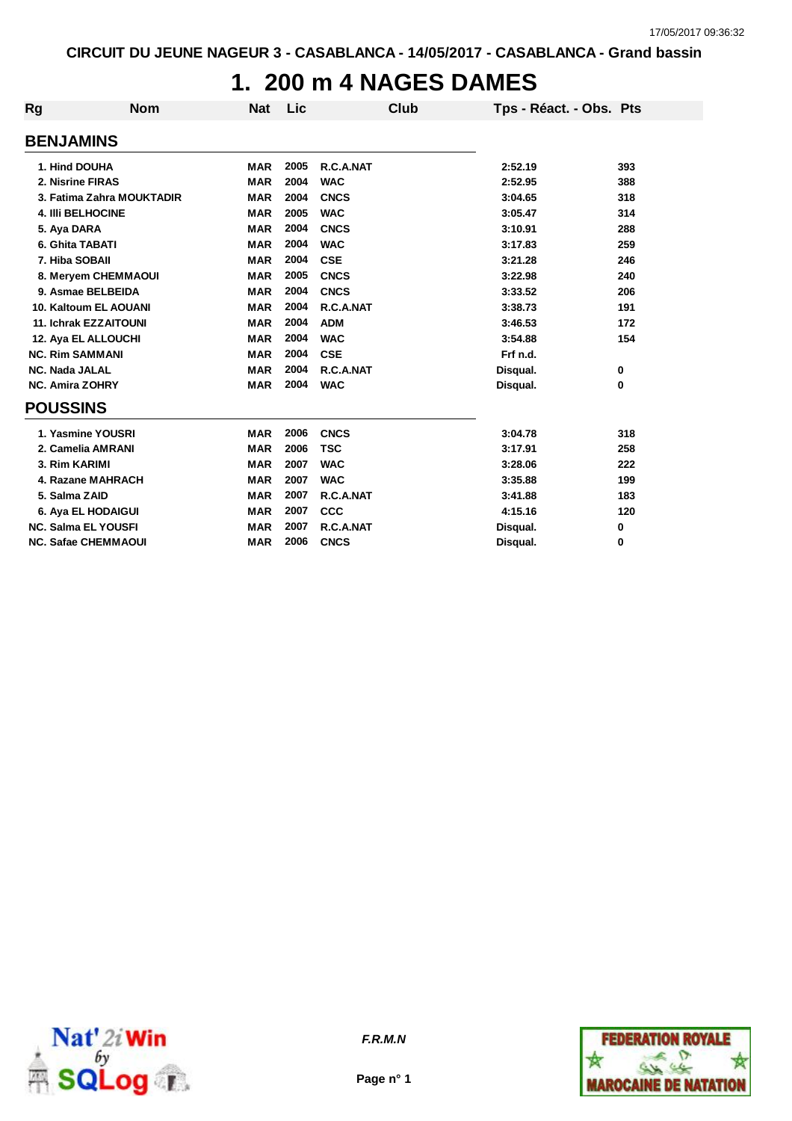# **1. 200 m 4 NAGES DAMES**

| Rg                     | <b>Nom</b>                   | <b>Nat</b> | Lic  | Club        | Tps - Réact. - Obs. Pts |     |
|------------------------|------------------------------|------------|------|-------------|-------------------------|-----|
| <b>BENJAMINS</b>       |                              |            |      |             |                         |     |
| 1. Hind DOUHA          |                              | <b>MAR</b> | 2005 | R.C.A.NAT   | 2:52.19                 | 393 |
|                        |                              |            | 2004 |             |                         |     |
| 2. Nisrine FIRAS       |                              | <b>MAR</b> |      | <b>WAC</b>  | 2:52.95                 | 388 |
|                        | 3. Fatima Zahra MOUKTADIR    | <b>MAR</b> | 2004 | <b>CNCS</b> | 3:04.65                 | 318 |
|                        | <b>4. IIII BELHOCINE</b>     | <b>MAR</b> | 2005 | <b>WAC</b>  | 3:05.47                 | 314 |
| 5. Aya DARA            |                              | <b>MAR</b> | 2004 | <b>CNCS</b> | 3:10.91                 | 288 |
| 6. Ghita TABATI        |                              | <b>MAR</b> | 2004 | <b>WAC</b>  | 3:17.83                 | 259 |
| 7. Hiba SOBAII         |                              | <b>MAR</b> | 2004 | <b>CSE</b>  | 3:21.28                 | 246 |
|                        | 8. Meryem CHEMMAOUI          | <b>MAR</b> | 2005 | <b>CNCS</b> | 3:22.98                 | 240 |
|                        | 9. Asmae BELBEIDA            | <b>MAR</b> | 2004 | <b>CNCS</b> | 3:33.52                 | 206 |
|                        | 10. Kaltoum EL AOUANI        | <b>MAR</b> | 2004 | R.C.A.NAT   | 3:38.73                 | 191 |
|                        | <b>11. Ichrak EZZAITOUNI</b> | <b>MAR</b> | 2004 | <b>ADM</b>  | 3:46.53                 | 172 |
|                        | 12. Aya EL ALLOUCHI          | <b>MAR</b> | 2004 | <b>WAC</b>  | 3:54.88                 | 154 |
| <b>NC. Rim SAMMANI</b> |                              | <b>MAR</b> | 2004 | <b>CSE</b>  | Frf n.d.                |     |
| <b>NC. Nada JALAL</b>  |                              | <b>MAR</b> | 2004 | R.C.A.NAT   | Disqual.                | 0   |
| <b>NC. Amira ZOHRY</b> |                              | <b>MAR</b> | 2004 | <b>WAC</b>  | Disqual.                | 0   |
| <b>POUSSINS</b>        |                              |            |      |             |                         |     |
|                        | 1. Yasmine YOUSRI            | <b>MAR</b> | 2006 | <b>CNCS</b> | 3:04.78                 | 318 |
|                        | 2. Camelia AMRANI            | <b>MAR</b> | 2006 | <b>TSC</b>  | 3:17.91                 | 258 |
| 3. Rim KARIMI          |                              | <b>MAR</b> | 2007 | <b>WAC</b>  | 3:28.06                 | 222 |
|                        | 4. Razane MAHRACH            | <b>MAR</b> | 2007 | <b>WAC</b>  | 3:35.88                 | 199 |
| 5. Salma ZAID          |                              | <b>MAR</b> | 2007 | R.C.A.NAT   | 3:41.88                 | 183 |
|                        | 6. Aya EL HODAIGUI           | <b>MAR</b> | 2007 | <b>CCC</b>  | 4:15.16                 | 120 |
|                        | <b>NC. Salma EL YOUSFI</b>   | <b>MAR</b> | 2007 | R.C.A.NAT   | Disqual.                | 0   |
|                        | <b>NC. Safae CHEMMAOUI</b>   | <b>MAR</b> | 2006 | <b>CNCS</b> | Disqual.                | 0   |



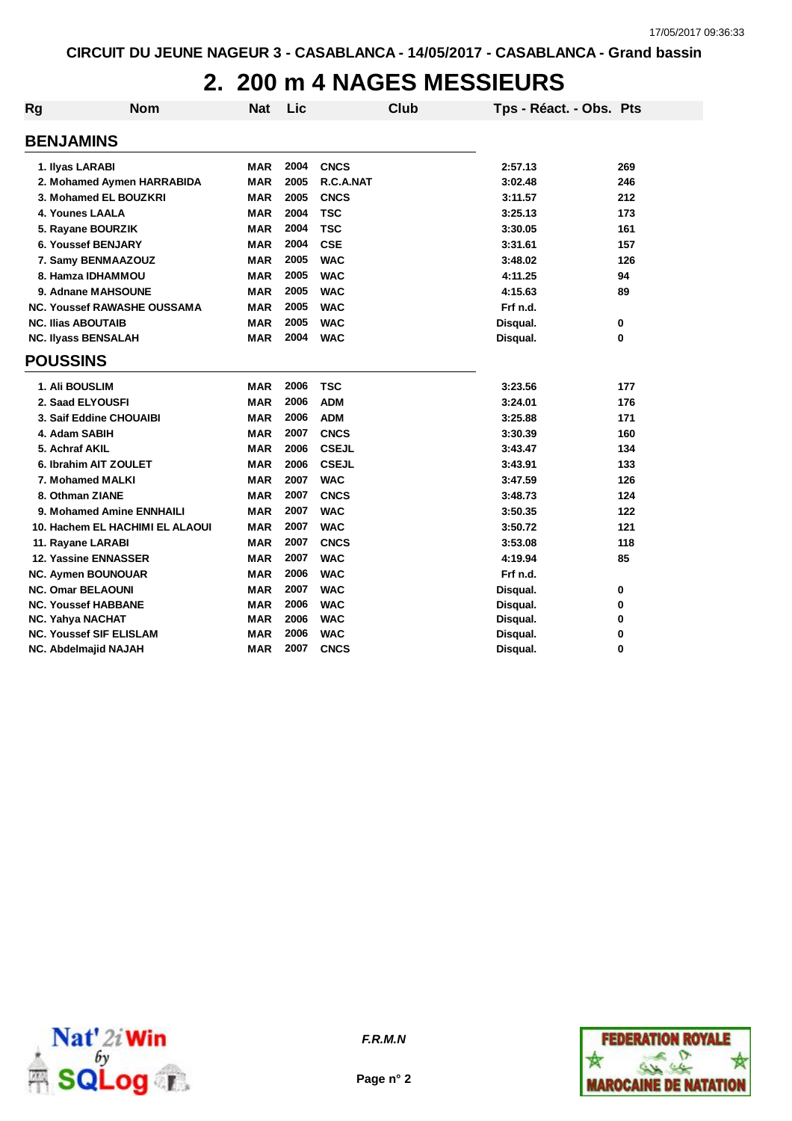# **2. 200 m 4 NAGES MESSIEURS**

| <b>Rg</b> | <b>Nom</b>                         | <b>Nat</b> | Lic  |              | Club | Tps - Réact. - Obs. Pts |     |
|-----------|------------------------------------|------------|------|--------------|------|-------------------------|-----|
|           | <b>BENJAMINS</b>                   |            |      |              |      |                         |     |
|           | 1. Ilyas LARABI                    | <b>MAR</b> | 2004 | <b>CNCS</b>  |      | 2:57.13                 | 269 |
|           | 2. Mohamed Aymen HARRABIDA         | <b>MAR</b> | 2005 | R.C.A.NAT    |      | 3:02.48                 | 246 |
|           | 3. Mohamed EL BOUZKRI              | <b>MAR</b> | 2005 | <b>CNCS</b>  |      | 3:11.57                 | 212 |
|           | 4. Younes LAALA                    | <b>MAR</b> | 2004 | <b>TSC</b>   |      | 3:25.13                 | 173 |
|           | 5. Rayane BOURZIK                  | <b>MAR</b> | 2004 | <b>TSC</b>   |      | 3:30.05                 | 161 |
|           | <b>6. Youssef BENJARY</b>          | <b>MAR</b> | 2004 | <b>CSE</b>   |      | 3:31.61                 | 157 |
|           | 7. Samy BENMAAZOUZ                 | <b>MAR</b> | 2005 | <b>WAC</b>   |      | 3:48.02                 | 126 |
|           | 8. Hamza IDHAMMOU                  | <b>MAR</b> | 2005 | <b>WAC</b>   |      | 4:11.25                 | 94  |
|           | 9. Adnane MAHSOUNE                 | <b>MAR</b> | 2005 | <b>WAC</b>   |      | 4:15.63                 | 89  |
|           | <b>NC. Youssef RAWASHE OUSSAMA</b> | <b>MAR</b> | 2005 | <b>WAC</b>   |      | Frf n.d.                |     |
|           | <b>NC. Ilias ABOUTAIB</b>          | <b>MAR</b> | 2005 | <b>WAC</b>   |      | Disqual.                | 0   |
|           | <b>NC. Ilyass BENSALAH</b>         | <b>MAR</b> | 2004 | <b>WAC</b>   |      | Disqual.                | 0   |
|           | <b>POUSSINS</b>                    |            |      |              |      |                         |     |
|           | 1. Ali BOUSLIM                     | <b>MAR</b> | 2006 | <b>TSC</b>   |      | 3:23.56                 | 177 |
|           | 2. Saad ELYOUSFI                   | <b>MAR</b> | 2006 | <b>ADM</b>   |      | 3:24.01                 | 176 |
|           | 3. Saif Eddine CHOUAIBI            | <b>MAR</b> | 2006 | <b>ADM</b>   |      | 3:25.88                 | 171 |
|           | 4. Adam SABIH                      | <b>MAR</b> | 2007 | <b>CNCS</b>  |      | 3:30.39                 | 160 |
|           | 5. Achraf AKIL                     | <b>MAR</b> | 2006 | <b>CSEJL</b> |      | 3:43.47                 | 134 |
|           | 6. Ibrahim AIT ZOULET              | <b>MAR</b> | 2006 | <b>CSEJL</b> |      | 3:43.91                 | 133 |
|           | 7. Mohamed MALKI                   | <b>MAR</b> | 2007 | <b>WAC</b>   |      | 3:47.59                 | 126 |
|           | 8. Othman ZIANE                    | <b>MAR</b> | 2007 | <b>CNCS</b>  |      | 3:48.73                 | 124 |
|           | 9. Mohamed Amine ENNHAILI          | <b>MAR</b> | 2007 | <b>WAC</b>   |      | 3:50.35                 | 122 |
|           | 10. Hachem EL HACHIMI EL ALAOUI    | <b>MAR</b> | 2007 | <b>WAC</b>   |      | 3:50.72                 | 121 |
|           | 11. Rayane LARABI                  | <b>MAR</b> | 2007 | <b>CNCS</b>  |      | 3:53.08                 | 118 |
|           | <b>12. Yassine ENNASSER</b>        | <b>MAR</b> | 2007 | <b>WAC</b>   |      | 4:19.94                 | 85  |
|           | <b>NC. Aymen BOUNOUAR</b>          | <b>MAR</b> | 2006 | <b>WAC</b>   |      | Frf n.d.                |     |
|           | <b>NC. Omar BELAOUNI</b>           | <b>MAR</b> | 2007 | <b>WAC</b>   |      | Disqual.                | 0   |
|           | <b>NC. Youssef HABBANE</b>         | <b>MAR</b> | 2006 | <b>WAC</b>   |      | Disqual.                | 0   |
|           | <b>NC. Yahya NACHAT</b>            | <b>MAR</b> | 2006 | <b>WAC</b>   |      | Disqual.                | 0   |
|           | <b>NC. Youssef SIF ELISLAM</b>     | <b>MAR</b> | 2006 | <b>WAC</b>   |      | Disqual.                | 0   |
|           | NC. Abdelmajid NAJAH               | <b>MAR</b> | 2007 | <b>CNCS</b>  |      | Disqual.                | 0   |





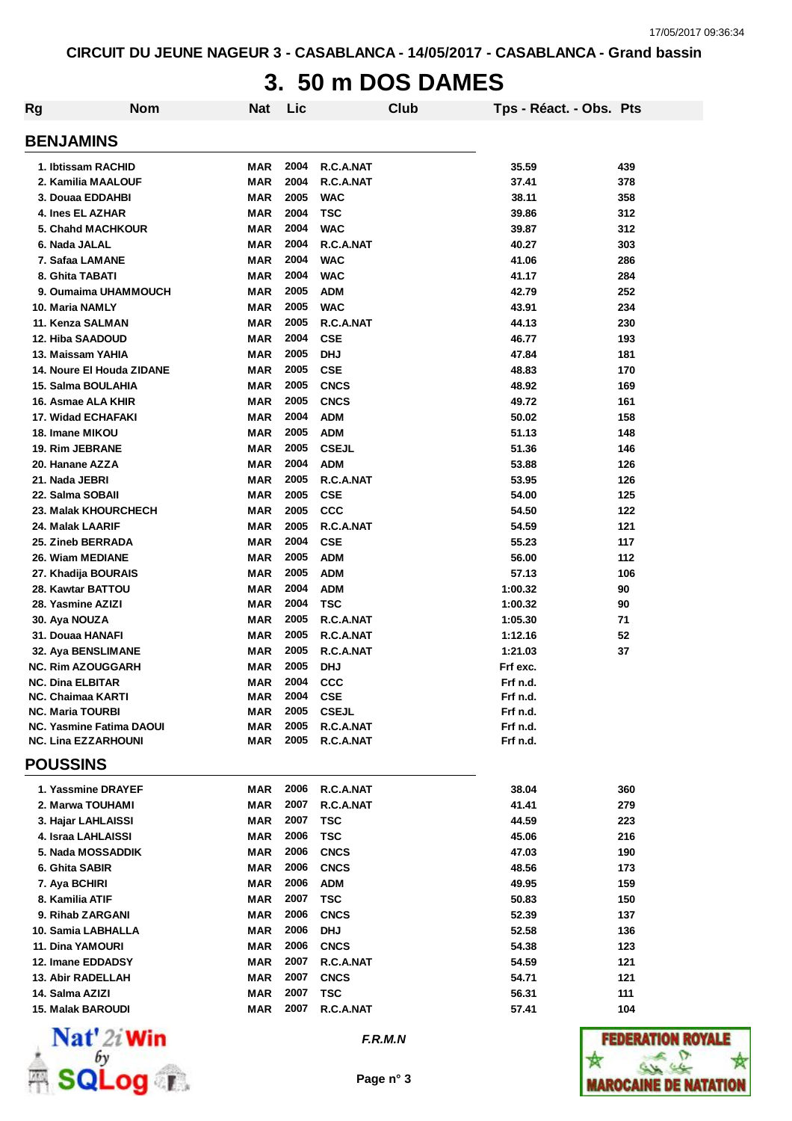# **3. 50 m DOS DAMES**

| Rg                                           | <b>Nom</b> | <b>Nat</b>        | Lic              |              | Club | Tps - Réact. - Obs. Pts |     |
|----------------------------------------------|------------|-------------------|------------------|--------------|------|-------------------------|-----|
| <b>BENJAMINS</b>                             |            |                   |                  |              |      |                         |     |
| 1. Ibtissam RACHID                           |            | MAR               | 2004             | R.C.A.NAT    |      | 35.59                   | 439 |
| 2. Kamilia MAALOUF                           |            | <b>MAR</b>        | 2004             | R.C.A.NAT    |      | 37.41                   | 378 |
| 3. Douaa EDDAHBI                             |            | <b>MAR</b>        | 2005             | <b>WAC</b>   |      | 38.11                   | 358 |
| 4. Ines EL AZHAR                             |            | <b>MAR</b>        | 2004             | <b>TSC</b>   |      | 39.86                   | 312 |
| 5. Chahd MACHKOUR                            |            | <b>MAR</b>        | 2004             | <b>WAC</b>   |      | 39.87                   | 312 |
| 6. Nada JALAL                                |            | <b>MAR</b>        | 2004             | R.C.A.NAT    |      | 40.27                   | 303 |
| 7. Safaa LAMANE                              |            | <b>MAR</b>        | 2004             | <b>WAC</b>   |      | 41.06                   | 286 |
| 8. Ghita TABATI                              |            | <b>MAR</b>        | 2004             | <b>WAC</b>   |      | 41.17                   | 284 |
| 9. Oumaima UHAMMOUCH                         |            | <b>MAR</b>        | 2005             | <b>ADM</b>   |      | 42.79                   | 252 |
| 10. Maria NAMLY                              |            | <b>MAR</b>        | 2005             | <b>WAC</b>   |      | 43.91                   | 234 |
| 11. Kenza SALMAN                             |            | <b>MAR</b>        | 2005             | R.C.A.NAT    |      | 44.13                   | 230 |
| 12. Hiba SAADOUD                             |            | MAR               | 2004             | <b>CSE</b>   |      | 46.77                   | 193 |
| 13. Maissam YAHIA                            |            | MAR               | 2005             | <b>DHJ</b>   |      | 47.84                   | 181 |
| 14. Noure El Houda ZIDANE                    |            | MAR               | 2005             | <b>CSE</b>   |      | 48.83                   | 170 |
| 15. Salma BOULAHIA                           |            | MAR               | 2005             | <b>CNCS</b>  |      | 48.92                   | 169 |
| 16. Asmae ALA KHIR                           |            | MAR               | 2005             | <b>CNCS</b>  |      | 49.72                   | 161 |
| <b>17. Widad ECHAFAKI</b>                    |            | MAR               | 2004             | <b>ADM</b>   |      | 50.02                   | 158 |
| 18. Imane MIKOU                              |            | MAR               | 2005             | <b>ADM</b>   |      | 51.13                   | 148 |
| <b>19. Rim JEBRANE</b>                       |            | MAR               | 2005             | <b>CSEJL</b> |      | 51.36                   | 146 |
| 20. Hanane AZZA                              |            | <b>MAR</b>        | 2004             | <b>ADM</b>   |      | 53.88                   | 126 |
| 21. Nada JEBRI                               |            | <b>MAR</b>        | 2005             | R.C.A.NAT    |      | 53.95                   | 126 |
| 22. Salma SOBAII                             |            | <b>MAR</b>        | 2005             | <b>CSE</b>   |      | 54.00                   | 125 |
| 23. Malak KHOURCHECH                         |            | <b>MAR</b>        | 2005             | CCC          |      | 54.50                   | 122 |
| 24. Malak LAARIF                             |            | <b>MAR</b>        | 2005             | R.C.A.NAT    |      | 54.59                   | 121 |
| 25. Zineb BERRADA                            |            | <b>MAR</b>        | 2004             | <b>CSE</b>   |      | 55.23                   | 117 |
| 26. Wiam MEDIANE                             |            | <b>MAR</b>        | 2005             | <b>ADM</b>   |      | 56.00                   | 112 |
| 27. Khadija BOURAIS                          |            | MAR               | 2005             | <b>ADM</b>   |      | 57.13                   | 106 |
| 28. Kawtar BATTOU                            |            | <b>MAR</b>        | 2004             | <b>ADM</b>   |      | 1:00.32                 | 90  |
| 28. Yasmine AZIZI                            |            | MAR               | 2004             | <b>TSC</b>   |      | 1:00.32                 | 90  |
| 30. Aya NOUZA                                |            | <b>MAR</b>        | 2005             | R.C.A.NAT    |      | 1:05.30                 | 71  |
| 31. Douaa HANAFI                             |            | <b>MAR</b>        | 2005             | R.C.A.NAT    |      | 1:12.16                 | 52  |
| 32. Aya BENSLIMANE                           |            | <b>MAR</b>        | 2005             | R.C.A.NAT    |      | 1:21.03                 | 37  |
| <b>NC. Rim AZOUGGARH</b>                     |            | <b>MAR</b>        | 2005             | <b>DHJ</b>   |      | Frf exc.                |     |
| <b>NC. Dina ELBITAR</b><br>NC. Chaimaa KARTI |            | MAR<br><b>MAR</b> | 2004<br>2004 CSE | <b>CCC</b>   |      | Frf n.d.                |     |
| <b>NC. Maria TOURBI</b>                      |            | MAR               |                  | 2005 CSEJL   |      | Frf n.d.<br>Frf n.d.    |     |
| <b>NC. Yasmine Fatima DAOUI</b>              |            | <b>MAR</b>        | 2005             | R.C.A.NAT    |      | Frf n.d.                |     |
| <b>NC. Lina EZZARHOUNI</b>                   |            | MAR               | 2005             | R.C.A.NAT    |      | Frf n.d.                |     |
| <b>POUSSINS</b>                              |            |                   |                  |              |      |                         |     |
| 1. Yassmine DRAYEF                           |            | MAR               | 2006             | R.C.A.NAT    |      | 38.04                   | 360 |
| 2. Marwa TOUHAMI                             |            | MAR               | 2007             | R.C.A.NAT    |      | 41.41                   | 279 |
| 3. Hajar LAHLAISSI                           |            | MAR               | 2007             | TSC          |      | 44.59                   | 223 |
| 4. Israa LAHLAISSI                           |            | MAR               | 2006             | <b>TSC</b>   |      | 45.06                   | 216 |
| 5. Nada MOSSADDIK                            |            | MAR               | 2006             | <b>CNCS</b>  |      | 47.03                   | 190 |
| 6. Ghita SABIR                               |            | MAR               | 2006             | <b>CNCS</b>  |      | 48.56                   | 173 |
| 7. Aya BCHIRI                                |            | MAR               | 2006             | <b>ADM</b>   |      | 49.95                   | 159 |
| 8. Kamilia ATIF                              |            | MAR               | 2007             | <b>TSC</b>   |      | 50.83                   | 150 |
| 9. Rihab ZARGANI                             |            | <b>MAR</b>        | 2006             | <b>CNCS</b>  |      | 52.39                   | 137 |
| 10. Samia LABHALLA                           |            | MAR               | 2006             | <b>DHJ</b>   |      | 52.58                   | 136 |
| 11. Dina YAMOURI                             |            | MAR               | 2006             | <b>CNCS</b>  |      | 54.38                   | 123 |
| 12. Imane EDDADSY                            |            | MAR               | 2007             | R.C.A.NAT    |      | 54.59                   | 121 |
| <b>13. Abir RADELLAH</b>                     |            | MAR               | 2007             | <b>CNCS</b>  |      | 54.71                   | 121 |
| 14. Salma AZIZI                              |            | MAR               | 2007             | <b>TSC</b>   |      | 56.31                   | 111 |
| <b>15. Malak BAROUDI</b>                     |            | MAR               | 2007             | R.C.A.NAT    |      | 57.41                   | 104 |
|                                              |            |                   |                  |              |      |                         |     |



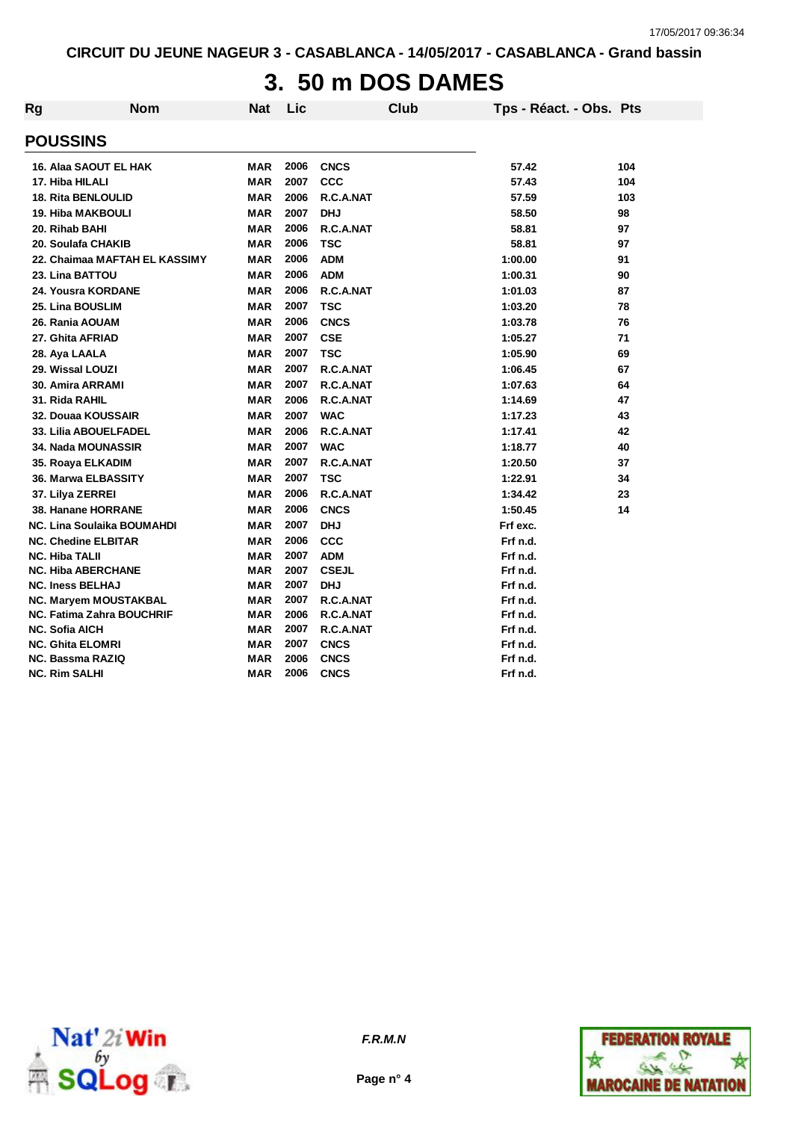# **3. 50 m DOS DAMES**

| Rg | <b>Nom</b>                       | <b>Nat</b> | Lic  |              | <b>Club</b> | Tps - Réact. - Obs. Pts |     |
|----|----------------------------------|------------|------|--------------|-------------|-------------------------|-----|
|    | <b>POUSSINS</b>                  |            |      |              |             |                         |     |
|    | 16. Alaa SAOUT EL HAK            | <b>MAR</b> | 2006 | <b>CNCS</b>  |             | 57.42                   | 104 |
|    | 17. Hiba HILALI                  | <b>MAR</b> | 2007 | CCC          |             | 57.43                   | 104 |
|    | <b>18. Rita BENLOULID</b>        | <b>MAR</b> | 2006 | R.C.A.NAT    |             | 57.59                   | 103 |
|    | <b>19. Hiba MAKBOULI</b>         | <b>MAR</b> | 2007 | <b>DHJ</b>   |             | 58.50                   | 98  |
|    | 20. Rihab BAHI                   | <b>MAR</b> | 2006 | R.C.A.NAT    |             | 58.81                   | 97  |
|    | 20. Soulafa CHAKIB               | <b>MAR</b> | 2006 | <b>TSC</b>   |             | 58.81                   | 97  |
|    | 22. Chaimaa MAFTAH EL KASSIMY    | <b>MAR</b> | 2006 | <b>ADM</b>   |             | 1:00.00                 | 91  |
|    | 23. Lina BATTOU                  | <b>MAR</b> | 2006 | <b>ADM</b>   |             | 1:00.31                 | 90  |
|    | 24. Yousra KORDANE               | <b>MAR</b> | 2006 | R.C.A.NAT    |             | 1:01.03                 | 87  |
|    | 25. Lina BOUSLIM                 | <b>MAR</b> | 2007 | <b>TSC</b>   |             | 1:03.20                 | 78  |
|    | 26. Rania AOUAM                  | <b>MAR</b> | 2006 | <b>CNCS</b>  |             | 1:03.78                 | 76  |
|    | 27. Ghita AFRIAD                 | <b>MAR</b> | 2007 | <b>CSE</b>   |             | 1:05.27                 | 71  |
|    | 28. Aya LAALA                    | <b>MAR</b> | 2007 | TSC          |             | 1:05.90                 | 69  |
|    | 29. Wissal LOUZI                 | <b>MAR</b> | 2007 | R.C.A.NAT    |             | 1:06.45                 | 67  |
|    | 30. Amira ARRAMI                 | <b>MAR</b> | 2007 | R.C.A.NAT    |             | 1:07.63                 | 64  |
|    | 31. Rida RAHIL                   | <b>MAR</b> | 2006 | R.C.A.NAT    |             | 1:14.69                 | 47  |
|    | 32. Douaa KOUSSAIR               | <b>MAR</b> | 2007 | <b>WAC</b>   |             | 1:17.23                 | 43  |
|    | 33. Lilia ABOUELFADEL            | <b>MAR</b> | 2006 | R.C.A.NAT    |             | 1:17.41                 | 42  |
|    | <b>34. Nada MOUNASSIR</b>        | <b>MAR</b> | 2007 | <b>WAC</b>   |             | 1:18.77                 | 40  |
|    | 35. Roaya ELKADIM                | <b>MAR</b> | 2007 | R.C.A.NAT    |             | 1:20.50                 | 37  |
|    | 36. Marwa ELBASSITY              | <b>MAR</b> | 2007 | <b>TSC</b>   |             | 1:22.91                 | 34  |
|    | 37. Lilya ZERREI                 | <b>MAR</b> | 2006 | R.C.A.NAT    |             | 1:34.42                 | 23  |
|    | 38. Hanane HORRANE               | <b>MAR</b> | 2006 | <b>CNCS</b>  |             | 1:50.45                 | 14  |
|    | NC. Lina Soulaika BOUMAHDI       | <b>MAR</b> | 2007 | <b>DHJ</b>   |             | Frf exc.                |     |
|    | <b>NC. Chedine ELBITAR</b>       | <b>MAR</b> | 2006 | CCC          |             | Frf n.d.                |     |
|    | <b>NC. Hiba TALII</b>            | <b>MAR</b> | 2007 | <b>ADM</b>   |             | Frf n.d.                |     |
|    | <b>NC. Hiba ABERCHANE</b>        | <b>MAR</b> | 2007 | <b>CSEJL</b> |             | Frf n.d.                |     |
|    | <b>NC. Iness BELHAJ</b>          | <b>MAR</b> | 2007 | <b>DHJ</b>   |             | Frf n.d.                |     |
|    | NC. Maryem MOUSTAKBAL            | <b>MAR</b> | 2007 | R.C.A.NAT    |             | Frf n.d.                |     |
|    | <b>NC. Fatima Zahra BOUCHRIF</b> | <b>MAR</b> | 2006 | R.C.A.NAT    |             | Frf n.d.                |     |
|    | <b>NC. Sofia AICH</b>            | <b>MAR</b> | 2007 | R.C.A.NAT    |             | Frf n.d.                |     |
|    | <b>NC. Ghita ELOMRI</b>          | <b>MAR</b> | 2007 | <b>CNCS</b>  |             | Frf n.d.                |     |
|    | <b>NC. Bassma RAZIQ</b>          | <b>MAR</b> | 2006 | <b>CNCS</b>  |             | Frf n.d.                |     |
|    | <b>NC. Rim SALHI</b>             | <b>MAR</b> | 2006 | <b>CNCS</b>  |             | Frf n.d.                |     |



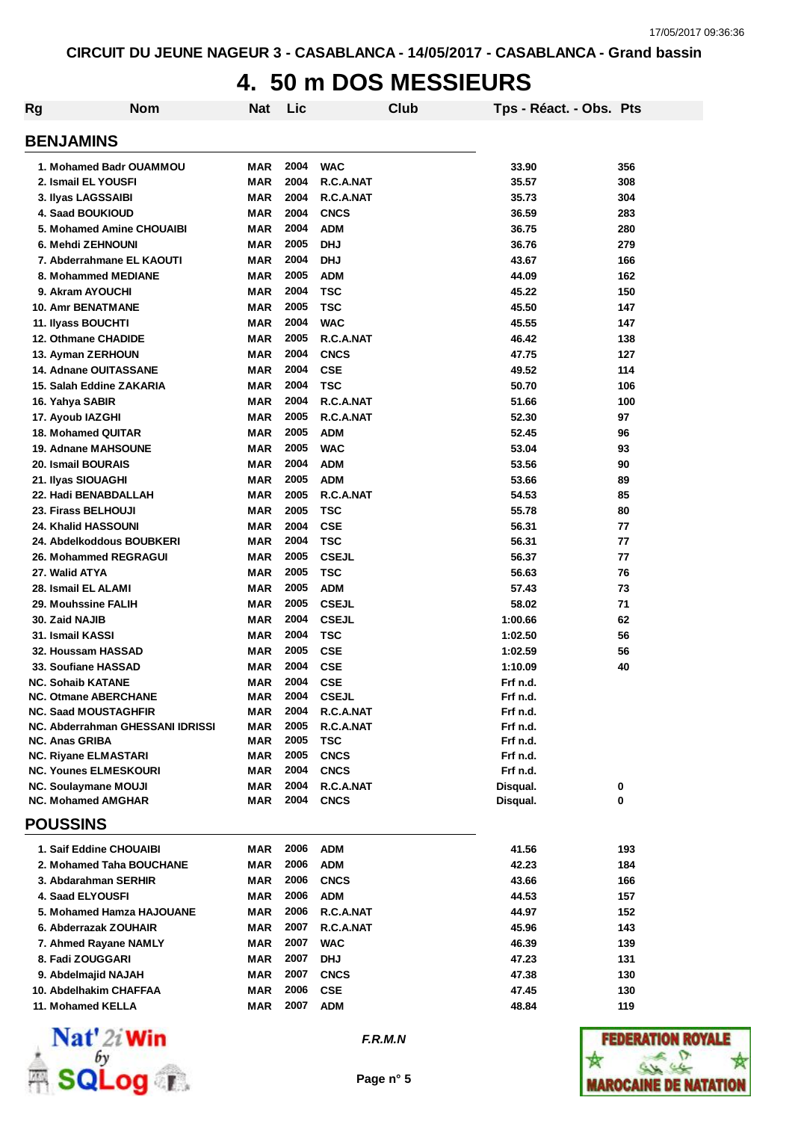#### **4. 50 m DOS MESSIEURS**

| <b>Rg</b>                                                  | <b>Nom</b>                       | <b>Nat</b>        | Lic          |                           | <b>Club</b> | Tps - Réact. - Obs. Pts |     |
|------------------------------------------------------------|----------------------------------|-------------------|--------------|---------------------------|-------------|-------------------------|-----|
| <b>BENJAMINS</b>                                           |                                  |                   |              |                           |             |                         |     |
|                                                            | 1. Mohamed Badr OUAMMOU          | MAR               | 2004         | <b>WAC</b>                |             | 33.90                   | 356 |
| 2. Ismail EL YOUSFI                                        |                                  | <b>MAR</b>        | 2004         | R.C.A.NAT                 |             | 35.57                   | 308 |
| 3. Ilyas LAGSSAIBI                                         |                                  | <b>MAR</b>        | 2004         | R.C.A.NAT                 |             | 35.73                   | 304 |
| 4. Saad BOUKIOUD                                           |                                  | <b>MAR</b>        | 2004         | <b>CNCS</b>               |             | 36.59                   | 283 |
|                                                            | 5. Mohamed Amine CHOUAIBI        | <b>MAR</b>        | 2004         | <b>ADM</b>                |             | 36.75                   | 280 |
| 6. Mehdi ZEHNOUNI                                          |                                  | <b>MAR</b>        | 2005         | <b>DHJ</b>                |             | 36.76                   | 279 |
|                                                            | 7. Abderrahmane EL KAOUTI        | <b>MAR</b>        | 2004         | <b>DHJ</b>                |             | 43.67                   | 166 |
| 8. Mohammed MEDIANE                                        |                                  | <b>MAR</b>        | 2005         | <b>ADM</b>                |             | 44.09                   | 162 |
| 9. Akram AYOUCHI                                           |                                  | <b>MAR</b>        | 2004         | <b>TSC</b>                |             | 45.22                   | 150 |
| <b>10. Amr BENATMANE</b>                                   |                                  | <b>MAR</b>        | 2005         | <b>TSC</b>                |             | 45.50                   | 147 |
| 11. Ilyass BOUCHTI                                         |                                  | <b>MAR</b>        | 2004         | <b>WAC</b>                |             | 45.55                   | 147 |
| 12. Othmane CHADIDE                                        |                                  | <b>MAR</b>        | 2005         | R.C.A.NAT                 |             | 46.42                   | 138 |
| 13. Ayman ZERHOUN                                          |                                  | <b>MAR</b>        | 2004         | <b>CNCS</b>               |             | 47.75                   | 127 |
| <b>14. Adnane OUITASSANE</b>                               |                                  | <b>MAR</b>        | 2004         | <b>CSE</b>                |             | 49.52                   | 114 |
| 15. Salah Eddine ZAKARIA                                   |                                  | <b>MAR</b>        | 2004         | <b>TSC</b>                |             | 50.70                   | 106 |
| 16. Yahya SABIR                                            |                                  | <b>MAR</b>        | 2004         | R.C.A.NAT                 |             | 51.66                   | 100 |
| 17. Ayoub IAZGHI                                           |                                  | <b>MAR</b>        | 2005         | R.C.A.NAT                 |             | 52.30                   | 97  |
| <b>18. Mohamed QUITAR</b>                                  |                                  | <b>MAR</b>        | 2005         | <b>ADM</b>                |             | 52.45                   | 96  |
| <b>19. Adnane MAHSOUNE</b>                                 |                                  | <b>MAR</b>        | 2005         | <b>WAC</b>                |             | 53.04                   | 93  |
| 20. Ismail BOURAIS                                         |                                  | <b>MAR</b>        | 2004         | <b>ADM</b>                |             | 53.56                   | 90  |
| 21. Ilyas SIOUAGHI                                         |                                  | <b>MAR</b>        | 2005         | <b>ADM</b>                |             | 53.66                   | 89  |
| 22. Hadi BENABDALLAH                                       |                                  | <b>MAR</b>        | 2005         | R.C.A.NAT                 |             | 54.53                   | 85  |
| 23. Firass BELHOUJI                                        |                                  | <b>MAR</b>        | 2005         | <b>TSC</b>                |             | 55.78                   | 80  |
| 24. Khalid HASSOUNI                                        |                                  | <b>MAR</b>        | 2004         | <b>CSE</b>                |             | 56.31                   | 77  |
| 24. Abdelkoddous BOUBKERI                                  |                                  | MAR               | 2004         | <b>TSC</b>                |             | 56.31                   | 77  |
| 26. Mohammed REGRAGUI                                      |                                  | <b>MAR</b>        | 2005         | <b>CSEJL</b>              |             | 56.37                   | 77  |
| 27. Walid ATYA                                             |                                  | <b>MAR</b>        | 2005         | <b>TSC</b>                |             | 56.63                   | 76  |
| 28. Ismail EL ALAMI                                        |                                  | MAR               | 2005         | <b>ADM</b>                |             | 57.43                   | 73  |
| <b>29. Mouhssine FALIH</b>                                 |                                  | MAR               | 2005         | <b>CSEJL</b>              |             | 58.02                   | 71  |
| 30. Zaid NAJIB                                             |                                  | <b>MAR</b>        | 2004         | <b>CSEJL</b>              |             | 1:00.66                 | 62  |
| 31. Ismail KASSI                                           |                                  | MAR               | 2004         | <b>TSC</b>                |             | 1:02.50                 | 56  |
| 32. Houssam HASSAD                                         |                                  | <b>MAR</b>        | 2005         | <b>CSE</b>                |             | 1:02.59                 | 56  |
| <b>33. Soufiane HASSAD</b>                                 |                                  | <b>MAR</b>        | 2004         | <b>CSE</b>                |             | 1:10.09                 | 40  |
| <b>NC. Sohaib KATANE</b>                                   |                                  | <b>MAR</b>        | 2004         | <b>CSE</b>                |             | Frf n.d.                |     |
| <b>NC. Otmane ABERCHANE</b><br><b>NC. Saad MOUSTAGHFIR</b> |                                  | MAR<br><b>MAR</b> | 2004<br>2004 | <b>CSEJL</b><br>R.C.A.NAT |             | Frf n.d.<br>Frf n.d.    |     |
|                                                            | NC. Abderrahman GHESSANI IDRISSI | <b>MAR</b>        | 2005         | R.C.A.NAT                 |             | Frf n.d.                |     |
| <b>NC. Anas GRIBA</b>                                      |                                  | <b>MAR</b>        | 2005         | TSC                       |             | Frf n.d.                |     |
| <b>NC. Rivane ELMASTARI</b>                                |                                  | MAR               | 2005         | <b>CNCS</b>               |             | Frf n.d.                |     |
| <b>NC. Younes ELMESKOURI</b>                               |                                  | <b>MAR</b>        | 2004         | <b>CNCS</b>               |             | Frf n.d.                |     |
| <b>NC. Soulaymane MOUJI</b>                                |                                  | <b>MAR</b>        | 2004         | R.C.A.NAT                 |             | Disqual.                | 0   |
| <b>NC. Mohamed AMGHAR</b>                                  |                                  | MAR               | 2004         | <b>CNCS</b>               |             | Disqual.                | 0   |
| <b>POUSSINS</b>                                            |                                  |                   |              |                           |             |                         |     |
| 1. Saif Eddine CHOUAIBI                                    |                                  | MAR               | 2006         | <b>ADM</b>                |             | 41.56                   | 193 |
|                                                            | 2. Mohamed Taha BOUCHANE         | MAR               | 2006         | ADM                       |             | 42.23                   | 184 |
| 3. Abdarahman SERHIR                                       |                                  | MAR               | 2006         | <b>CNCS</b>               |             | 43.66                   | 166 |
| 4. Saad ELYOUSFI                                           |                                  | <b>MAR</b>        | 2006         | <b>ADM</b>                |             | 44.53                   | 157 |
|                                                            | 5. Mohamed Hamza HAJOUANE        | <b>MAR</b>        | 2006         | R.C.A.NAT                 |             | 44.97                   | 152 |
| 6. Abderrazak ZOUHAIR                                      |                                  | MAR               | 2007         | R.C.A.NAT                 |             | 45.96                   | 143 |
| 7. Ahmed Rayane NAMLY                                      |                                  | <b>MAR</b>        | 2007         | <b>WAC</b>                |             | 46.39                   | 139 |
| 8. Fadi ZOUGGARI                                           |                                  | MAR               | 2007         | <b>DHJ</b>                |             | 47.23                   | 131 |
| 9. Abdelmajid NAJAH                                        |                                  | <b>MAR</b>        | 2007         | <b>CNCS</b>               |             | 47.38                   | 130 |
| 10. Abdelhakim CHAFFAA                                     |                                  | <b>MAR</b>        | 2006         | <b>CSE</b>                |             | 47.45                   | 130 |
| 11. Mohamed KELLA                                          |                                  | <b>MAR</b>        | 2007         | <b>ADM</b>                |             | 48.84                   | 119 |
|                                                            |                                  |                   |              |                           |             |                         |     |



*F.R.M.N*

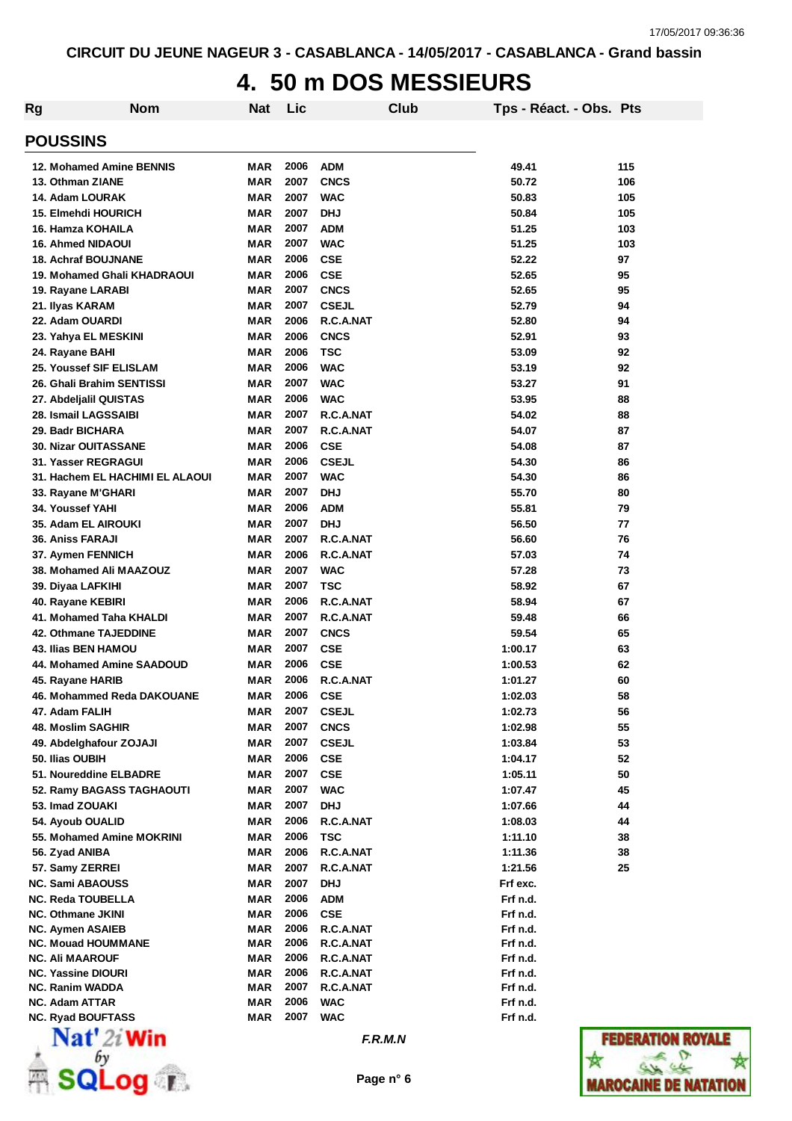#### **4. 50 m DOS MESSIEURS**

| Rg                                                   | <b>Nom</b>                      | <b>Nat</b>        | Lic  |                          | Club    | Tps - Réact. - Obs. Pts |                 |
|------------------------------------------------------|---------------------------------|-------------------|------|--------------------------|---------|-------------------------|-----------------|
| <b>POUSSINS</b>                                      |                                 |                   |      |                          |         |                         |                 |
| 12. Mohamed Amine BENNIS                             |                                 | MAR               | 2006 | <b>ADM</b>               |         | 49.41                   | 115             |
| 13. Othman ZIANE                                     |                                 | <b>MAR</b>        | 2007 | <b>CNCS</b>              |         | 50.72                   | 106             |
| 14. Adam LOURAK                                      |                                 | <b>MAR</b>        | 2007 | <b>WAC</b>               |         | 50.83                   | 105             |
| <b>15. Elmehdi HOURICH</b>                           |                                 | <b>MAR</b>        | 2007 | <b>DHJ</b>               |         | 50.84                   | 105             |
| 16. Hamza KOHAILA                                    |                                 | <b>MAR</b>        | 2007 | <b>ADM</b>               |         | 51.25                   | 103             |
| <b>16. Ahmed NIDAOUI</b>                             |                                 | <b>MAR</b>        | 2007 | <b>WAC</b>               |         | 51.25                   | 103             |
| <b>18. Achraf BOUJNANE</b>                           |                                 | <b>MAR</b>        | 2006 | <b>CSE</b>               |         | 52.22                   | 97              |
|                                                      | 19. Mohamed Ghali KHADRAOUI     | <b>MAR</b>        | 2006 | <b>CSE</b>               |         | 52.65                   | 95              |
| 19. Rayane LARABI                                    |                                 | <b>MAR</b>        | 2007 | <b>CNCS</b>              |         | 52.65                   | 95              |
| 21. Ilyas KARAM                                      |                                 | <b>MAR</b>        | 2007 | <b>CSEJL</b>             |         | 52.79                   | 94              |
| 22. Adam OUARDI                                      |                                 | <b>MAR</b>        | 2006 | R.C.A.NAT                |         | 52.80                   | 94              |
| 23. Yahya EL MESKINI                                 |                                 | <b>MAR</b>        | 2006 | <b>CNCS</b>              |         | 52.91                   | 93              |
| 24. Rayane BAHI                                      |                                 | <b>MAR</b>        | 2006 | <b>TSC</b>               |         | 53.09                   | 92              |
| 25. Youssef SIF ELISLAM                              |                                 | <b>MAR</b>        | 2006 | <b>WAC</b>               |         | 53.19                   | 92              |
| 26. Ghali Brahim SENTISSI                            |                                 | <b>MAR</b>        | 2007 | <b>WAC</b>               |         | 53.27                   | 91              |
| 27. Abdeljalil QUISTAS                               |                                 | <b>MAR</b>        | 2006 | <b>WAC</b>               |         | 53.95                   | 88              |
| 28. Ismail LAGSSAIBI                                 |                                 | <b>MAR</b>        | 2007 | R.C.A.NAT                |         | 54.02                   | 88              |
| 29. Badr BICHARA                                     |                                 | <b>MAR</b>        | 2007 | R.C.A.NAT                |         | 54.07                   | 87              |
| <b>30. Nizar OUITASSANE</b>                          |                                 | <b>MAR</b>        | 2006 | <b>CSE</b>               |         | 54.08                   | 87              |
| 31. Yasser REGRAGUI                                  |                                 | <b>MAR</b>        | 2006 | <b>CSEJL</b>             |         | 54.30                   | 86              |
|                                                      | 31. Hachem EL HACHIMI EL ALAOUI | MAR               | 2007 | <b>WAC</b>               |         | 54.30                   | 86              |
| 33. Rayane M'GHARI                                   |                                 | <b>MAR</b>        | 2007 | <b>DHJ</b>               |         | 55.70                   | 80              |
| <b>34. Youssef YAHI</b>                              |                                 | <b>MAR</b>        | 2006 | <b>ADM</b>               |         | 55.81                   | 79              |
| 35. Adam EL AIROUKI                                  |                                 | <b>MAR</b>        | 2007 | <b>DHJ</b>               |         | 56.50                   | 77              |
| <b>36. Aniss FARAJI</b>                              |                                 | <b>MAR</b>        | 2007 | R.C.A.NAT                |         | 56.60                   | 76              |
| 37. Aymen FENNICH                                    |                                 | <b>MAR</b>        | 2006 | R.C.A.NAT                |         | 57.03                   | 74              |
| 38. Mohamed Ali MAAZOUZ                              |                                 | <b>MAR</b>        | 2007 | <b>WAC</b>               |         | 57.28                   | 73              |
| 39. Diyaa LAFKIHI                                    |                                 | <b>MAR</b>        | 2007 | <b>TSC</b>               |         | 58.92                   | 67              |
| 40. Rayane KEBIRI                                    |                                 | <b>MAR</b>        | 2006 | R.C.A.NAT                |         | 58.94                   | 67              |
| 41. Mohamed Taha KHALDI                              |                                 | <b>MAR</b>        | 2007 | R.C.A.NAT                |         | 59.48                   | 66              |
| <b>42. Othmane TAJEDDINE</b>                         |                                 | <b>MAR</b>        | 2007 | <b>CNCS</b>              |         | 59.54                   | 65              |
| <b>43. Ilias BEN HAMOU</b>                           |                                 | <b>MAR</b>        | 2007 | <b>CSE</b>               |         | 1:00.17                 | 63              |
|                                                      | 44. Mohamed Amine SAADOUD       | <b>MAR</b>        | 2006 | <b>CSE</b>               |         | 1:00.53                 | 62              |
| 45. Rayane HARIB                                     |                                 | <b>MAR</b>        | 2006 | R.C.A.NAT                |         | 1:01.27                 | 60              |
|                                                      | 46. Mohammed Reda DAKOUANE      | MAR               | 2006 | <b>CSE</b>               |         | 1:02.03                 | 58              |
| 47. Adam FALIH                                       |                                 | <b>MAR</b>        | 2007 | <b>CSEJL</b>             |         | 1:02.73                 | 56              |
| <b>48. Moslim SAGHIR</b>                             |                                 | <b>MAR</b>        | 2007 | <b>CNCS</b>              |         | 1:02.98                 | 55              |
| 49. Abdelghafour ZOJAJI                              |                                 | <b>MAR</b>        | 2007 | <b>CSEJL</b>             |         | 1:03.84                 | 53              |
| 50. Ilias OUBIH                                      |                                 | <b>MAR</b>        | 2006 | <b>CSE</b>               |         | 1:04.17                 | 52              |
| 51. Noureddine ELBADRE                               |                                 | <b>MAR</b>        | 2007 | <b>CSE</b>               |         | 1:05.11                 | 50              |
|                                                      | 52. Ramy BAGASS TAGHAOUTI       | <b>MAR</b>        | 2007 | <b>WAC</b>               |         | 1:07.47                 | 45              |
| 53. Imad ZOUAKI                                      |                                 | <b>MAR</b>        | 2007 | <b>DHJ</b>               |         | 1:07.66                 | 44              |
| 54. Ayoub OUALID                                     |                                 | <b>MAR</b>        | 2006 | R.C.A.NAT                |         | 1:08.03                 | 44              |
| 55. Mohamed Amine MOKRINI                            |                                 | <b>MAR</b>        | 2006 | <b>TSC</b>               |         | 1:11.10                 | 38              |
| 56. Zyad ANIBA                                       |                                 | <b>MAR</b>        | 2006 | R.C.A.NAT                |         | 1:11.36                 | 38              |
| 57. Samy ZERREI                                      |                                 | MAR               | 2007 | R.C.A.NAT                |         | 1:21.56                 | 25              |
| <b>NC. Sami ABAOUSS</b>                              |                                 | MAR               | 2007 | <b>DHJ</b>               |         | Frf exc.                |                 |
|                                                      |                                 |                   | 2006 |                          |         |                         |                 |
| <b>NC. Reda TOUBELLA</b><br><b>NC. Othmane JKINI</b> |                                 | MAR<br><b>MAR</b> | 2006 | <b>ADM</b><br><b>CSE</b> |         | Frf n.d.<br>Frf n.d.    |                 |
| <b>NC. Aymen ASAIEB</b>                              |                                 | MAR               | 2006 | R.C.A.NAT                |         | Frf n.d.                |                 |
| <b>NC. Mouad HOUMMANE</b>                            |                                 | <b>MAR</b>        | 2006 | R.C.A.NAT                |         | Frf n.d.                |                 |
| <b>NC. Ali MAAROUF</b>                               |                                 | <b>MAR</b>        | 2006 | R.C.A.NAT                |         | Frf n.d.                |                 |
| <b>NC. Yassine DIOURI</b>                            |                                 | MAR               | 2006 | R.C.A.NAT                |         | Frf n.d.                |                 |
| <b>NC. Ranim WADDA</b>                               |                                 | <b>MAR</b>        | 2007 | R.C.A.NAT                |         | Frf n.d.                |                 |
| <b>NC. Adam ATTAR</b>                                |                                 | <b>MAR</b>        | 2006 | <b>WAC</b>               |         | Frf n.d.                |                 |
| <b>NC. Ryad BOUFTASS</b>                             |                                 | MAR               | 2007 | <b>WAC</b>               |         | Frf n.d.                |                 |
|                                                      | Nat' 2i Win                     |                   |      |                          | F.R.M.N |                         | <b>FEDERATI</b> |



**Page n° 6**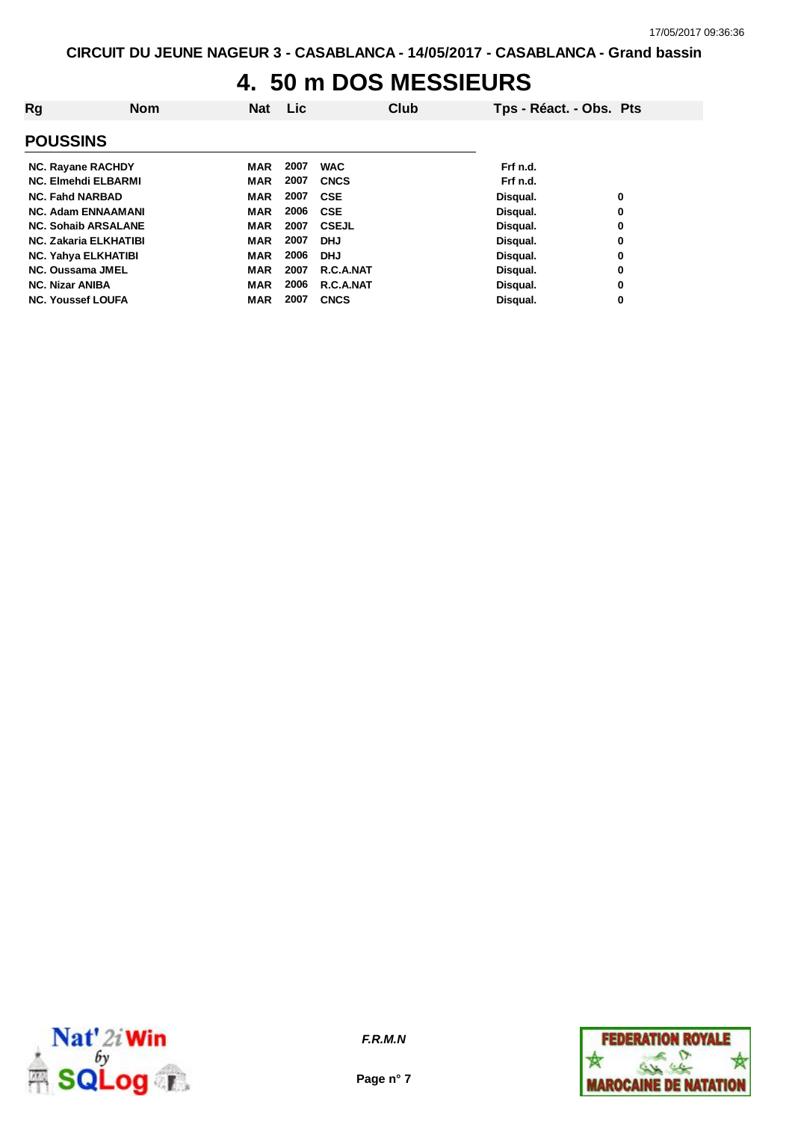#### **4. 50 m DOS MESSIEURS**

| Rg                           | <b>Nom</b> | <b>Nat</b> | <b>Lic</b> |              | Club | Tps - Réact. - Obs. Pts |   |
|------------------------------|------------|------------|------------|--------------|------|-------------------------|---|
| <b>POUSSINS</b>              |            |            |            |              |      |                         |   |
| <b>NC. Rayane RACHDY</b>     |            | <b>MAR</b> | 2007       | <b>WAC</b>   |      | Frf n.d.                |   |
| <b>NC. Elmehdi ELBARMI</b>   |            | <b>MAR</b> | 2007       | <b>CNCS</b>  |      | Frf n.d.                |   |
| <b>NC. Fahd NARBAD</b>       |            | <b>MAR</b> | 2007       | <b>CSE</b>   |      | Disqual.                | 0 |
| <b>NC. Adam ENNAAMANI</b>    |            | <b>MAR</b> | 2006       | <b>CSE</b>   |      | Disqual.                | 0 |
| <b>NC. Sohaib ARSALANE</b>   |            | <b>MAR</b> | 2007       | <b>CSEJL</b> |      | Disqual.                | 0 |
| <b>NC. Zakaria ELKHATIBI</b> |            | <b>MAR</b> | 2007       | <b>DHJ</b>   |      | Disqual.                | 0 |
| <b>NC. Yahya ELKHATIBI</b>   |            | <b>MAR</b> | 2006       | <b>DHJ</b>   |      | Disqual.                | 0 |
| NC. Oussama JMEL             |            | <b>MAR</b> | 2007       | R.C.A.NAT    |      | Disqual.                | 0 |
| <b>NC. Nizar ANIBA</b>       |            | <b>MAR</b> | 2006       | R.C.A.NAT    |      | Disqual.                | 0 |
| <b>NC. Youssef LOUFA</b>     |            | <b>MAR</b> | 2007       | <b>CNCS</b>  |      | Disqual.                | 0 |



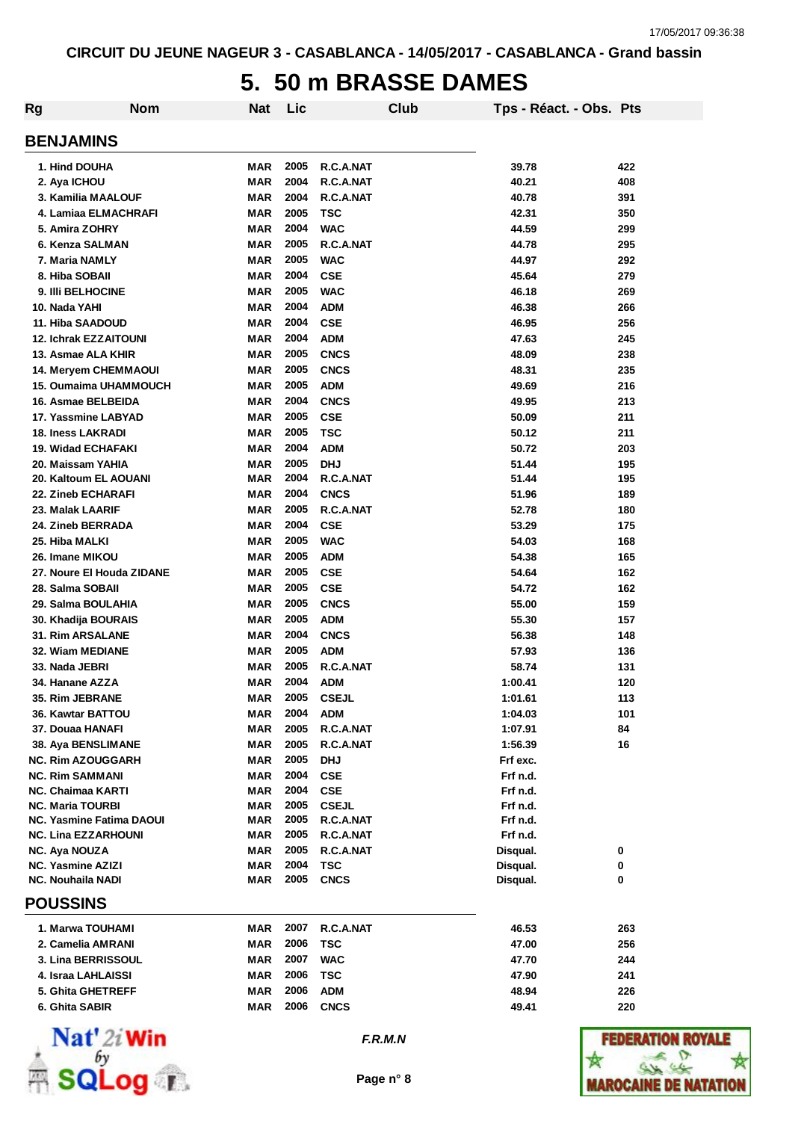#### **5. 50 m BRASSE DAMES**

| Rg | <b>Nom</b>                      | <b>Nat</b> | Lic  |              | Club | Tps - Réact. - Obs. Pts |     |  |
|----|---------------------------------|------------|------|--------------|------|-------------------------|-----|--|
|    | <b>BENJAMINS</b>                |            |      |              |      |                         |     |  |
|    | 1. Hind DOUHA                   | MAR        | 2005 | R.C.A.NAT    |      | 39.78                   | 422 |  |
|    | 2. Aya ICHOU                    | MAR        | 2004 | R.C.A.NAT    |      | 40.21                   | 408 |  |
|    | 3. Kamilia MAALOUF              | <b>MAR</b> | 2004 | R.C.A.NAT    |      | 40.78                   | 391 |  |
|    | 4. Lamiaa ELMACHRAFI            | <b>MAR</b> | 2005 | TSC          |      | 42.31                   | 350 |  |
|    | 5. Amira ZOHRY                  | <b>MAR</b> | 2004 | <b>WAC</b>   |      | 44.59                   | 299 |  |
|    | 6. Kenza SALMAN                 | <b>MAR</b> | 2005 | R.C.A.NAT    |      | 44.78                   | 295 |  |
|    | 7. Maria NAMLY                  | <b>MAR</b> | 2005 | <b>WAC</b>   |      | 44.97                   | 292 |  |
|    | 8. Hiba SOBAII                  | <b>MAR</b> | 2004 | <b>CSE</b>   |      | 45.64                   | 279 |  |
|    | 9. IIIi BELHOCINE               | <b>MAR</b> | 2005 | <b>WAC</b>   |      | 46.18                   | 269 |  |
|    | 10. Nada YAHI                   | <b>MAR</b> | 2004 | <b>ADM</b>   |      | 46.38                   | 266 |  |
|    | 11. Hiba SAADOUD                | <b>MAR</b> | 2004 | <b>CSE</b>   |      | 46.95                   | 256 |  |
|    | <b>12. Ichrak EZZAITOUNI</b>    | <b>MAR</b> | 2004 | <b>ADM</b>   |      | 47.63                   | 245 |  |
|    | 13. Asmae ALA KHIR              | <b>MAR</b> | 2005 | <b>CNCS</b>  |      | 48.09                   | 238 |  |
|    | <b>14. Meryem CHEMMAOUI</b>     | MAR        | 2005 | <b>CNCS</b>  |      | 48.31                   | 235 |  |
|    | 15. Oumaima UHAMMOUCH           | MAR        | 2005 | <b>ADM</b>   |      | 49.69                   | 216 |  |
|    | 16. Asmae BELBEIDA              | <b>MAR</b> | 2004 | <b>CNCS</b>  |      | 49.95                   | 213 |  |
|    | 17. Yassmine LABYAD             | <b>MAR</b> | 2005 | <b>CSE</b>   |      | 50.09                   | 211 |  |
|    | <b>18. Iness LAKRADI</b>        | <b>MAR</b> | 2005 | <b>TSC</b>   |      | 50.12                   | 211 |  |
|    | 19. Widad ECHAFAKI              | <b>MAR</b> | 2004 | <b>ADM</b>   |      | 50.72                   | 203 |  |
|    | 20. Maissam YAHIA               | MAR        | 2005 | <b>DHJ</b>   |      | 51.44                   | 195 |  |
|    | 20. Kaltoum EL AOUANI           | MAR        | 2004 | R.C.A.NAT    |      | 51.44                   | 195 |  |
|    | <b>22. Zineb ECHARAFI</b>       | MAR        | 2004 | <b>CNCS</b>  |      | 51.96                   | 189 |  |
|    | 23. Malak LAARIF                | MAR        | 2005 | R.C.A.NAT    |      | 52.78                   | 180 |  |
|    | <b>24. Zineb BERRADA</b>        | MAR        | 2004 | <b>CSE</b>   |      | 53.29                   | 175 |  |
|    | 25. Hiba MALKI                  | <b>MAR</b> | 2005 | <b>WAC</b>   |      | 54.03                   | 168 |  |
|    | 26. Imane MIKOU                 | <b>MAR</b> | 2005 | <b>ADM</b>   |      | 54.38                   | 165 |  |
|    | 27. Noure El Houda ZIDANE       | <b>MAR</b> | 2005 | <b>CSE</b>   |      | 54.64                   | 162 |  |
|    | 28. Salma SOBAII                | <b>MAR</b> | 2005 | <b>CSE</b>   |      | 54.72                   | 162 |  |
|    | 29. Salma BOULAHIA              | <b>MAR</b> | 2005 | <b>CNCS</b>  |      | 55.00                   | 159 |  |
|    | 30. Khadija BOURAIS             | MAR        | 2005 | <b>ADM</b>   |      | 55.30                   | 157 |  |
|    | <b>31. Rim ARSALANE</b>         | <b>MAR</b> | 2004 | <b>CNCS</b>  |      | 56.38                   | 148 |  |
|    | 32. Wiam MEDIANE                | MAR        | 2005 | <b>ADM</b>   |      | 57.93                   | 136 |  |
|    | 33. Nada JEBRI                  | <b>MAR</b> | 2005 | R.C.A.NAT    |      | 58.74                   | 131 |  |
|    | 34. Hanane AZZA                 | <b>MAR</b> | 2004 | <b>ADM</b>   |      | 1:00.41                 | 120 |  |
|    | 35. Rim JEBRANE                 | MAR        | 2005 | CSEJL        |      | 1:01.61                 | 113 |  |
|    | 36. Kawtar BATTOU               | MAR        | 2004 | <b>ADM</b>   |      | 1:04.03                 | 101 |  |
|    | 37. Douaa HANAFI                | <b>MAR</b> | 2005 | R.C.A.NAT    |      | 1:07.91                 | 84  |  |
|    | 38. Aya BENSLIMANE              | <b>MAR</b> | 2005 | R.C.A.NAT    |      | 1:56.39                 | 16  |  |
|    | <b>NC. Rim AZOUGGARH</b>        | <b>MAR</b> | 2005 | <b>DHJ</b>   |      | Frf exc.                |     |  |
|    | <b>NC. Rim SAMMANI</b>          | <b>MAR</b> | 2004 | <b>CSE</b>   |      | Frf n.d.                |     |  |
|    | NC. Chaimaa KARTI               | MAR        | 2004 | <b>CSE</b>   |      | Frf n.d.                |     |  |
|    | <b>NC. Maria TOURBI</b>         | MAR        | 2005 | <b>CSEJL</b> |      | Frf n.d.                |     |  |
|    | <b>NC. Yasmine Fatima DAOUI</b> | <b>MAR</b> | 2005 | R.C.A.NAT    |      | Frf n.d.                |     |  |
|    | <b>NC. Lina EZZARHOUNI</b>      | MAR        | 2005 | R.C.A.NAT    |      | Frf n.d.                |     |  |
|    | NC. Aya NOUZA                   | MAR        | 2005 | R.C.A.NAT    |      | Disqual.                | 0   |  |
|    | <b>NC. Yasmine AZIZI</b>        | <b>MAR</b> | 2004 | TSC          |      | Disqual.                | 0   |  |
|    | <b>NC. Nouhaila NADI</b>        | <b>MAR</b> | 2005 | <b>CNCS</b>  |      | Disqual.                | 0   |  |
|    | <b>POUSSINS</b>                 |            |      |              |      |                         |     |  |
|    | 1. Marwa TOUHAMI                | MAR        | 2007 | R.C.A.NAT    |      | 46.53                   | 263 |  |
|    | 2. Camelia AMRANI               | <b>MAR</b> | 2006 | <b>TSC</b>   |      | 47.00                   | 256 |  |
|    | 3. Lina BERRISSOUL              | <b>MAR</b> | 2007 | <b>WAC</b>   |      | 47.70                   | 244 |  |
|    | 4. Israa LAHLAISSI              | MAR        | 2006 | <b>TSC</b>   |      | 47.90                   | 241 |  |
|    | 5. Ghita GHETREFF               | <b>MAR</b> | 2006 | <b>ADM</b>   |      | 48.94                   | 226 |  |
|    | 6. Ghita SABIR                  | MAR        | 2006 | <b>CNCS</b>  |      | 49.41                   | 220 |  |
|    |                                 |            |      |              |      |                         |     |  |
|    | $NT - 120$                      |            |      |              |      |                         |     |  |



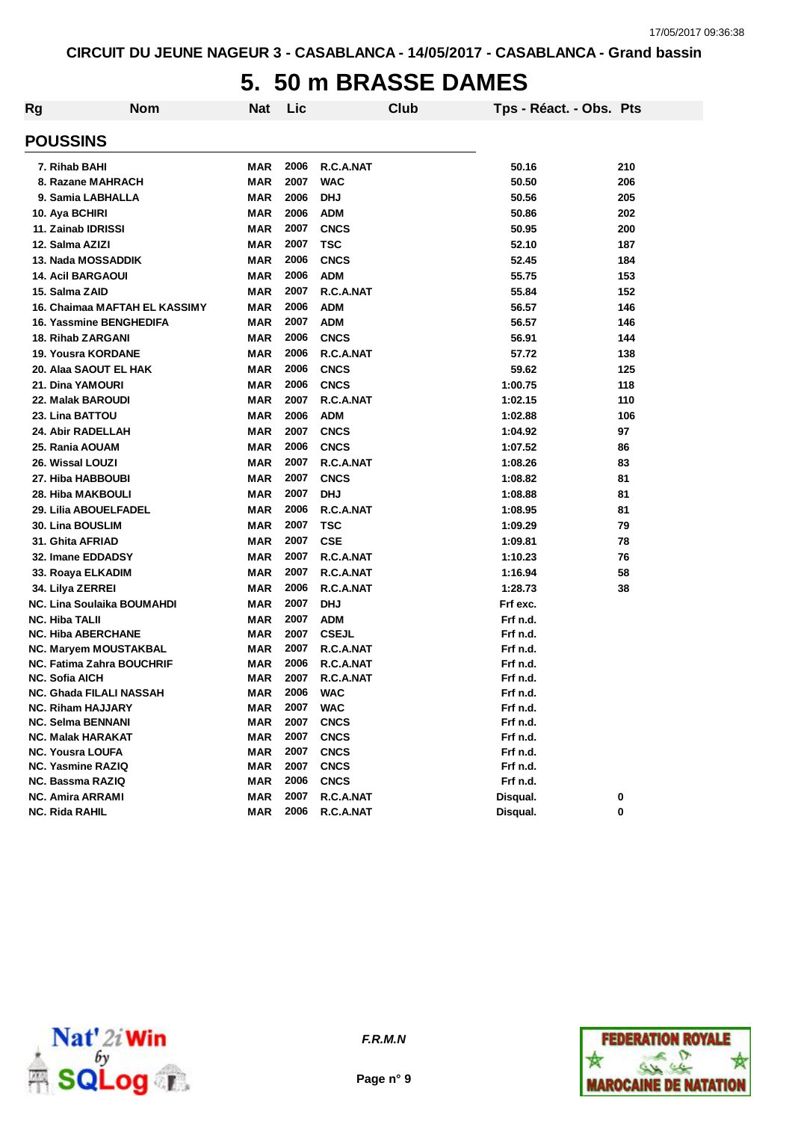#### **5. 50 m BRASSE DAMES**

| Rg | <b>Nom</b>                       | Nat        | Lic  |              | Club | Tps - Réact. - Obs. Pts |     |
|----|----------------------------------|------------|------|--------------|------|-------------------------|-----|
|    | <b>POUSSINS</b>                  |            |      |              |      |                         |     |
|    | 7. Rihab BAHI                    | MAR        | 2006 | R.C.A.NAT    |      | 50.16                   | 210 |
|    | 8. Razane MAHRACH                | MAR        | 2007 | <b>WAC</b>   |      | 50.50                   | 206 |
|    | 9. Samia LABHALLA                | <b>MAR</b> | 2006 | <b>DHJ</b>   |      | 50.56                   | 205 |
|    | 10. Aya BCHIRI                   | <b>MAR</b> | 2006 | <b>ADM</b>   |      | 50.86                   | 202 |
|    | 11. Zainab IDRISSI               | <b>MAR</b> | 2007 | <b>CNCS</b>  |      | 50.95                   | 200 |
|    | 12. Salma AZIZI                  | <b>MAR</b> | 2007 | <b>TSC</b>   |      | 52.10                   | 187 |
|    | 13. Nada MOSSADDIK               | <b>MAR</b> | 2006 | <b>CNCS</b>  |      | 52.45                   | 184 |
|    | <b>14. Acil BARGAOUI</b>         | <b>MAR</b> | 2006 | <b>ADM</b>   |      | 55.75                   | 153 |
|    | 15. Salma ZAID                   | <b>MAR</b> | 2007 | R.C.A.NAT    |      | 55.84                   | 152 |
|    | 16. Chaimaa MAFTAH EL KASSIMY    | <b>MAR</b> | 2006 | <b>ADM</b>   |      | 56.57                   | 146 |
|    | 16. Yassmine BENGHEDIFA          | MAR        | 2007 | <b>ADM</b>   |      | 56.57                   | 146 |
|    | <b>18. Rihab ZARGANI</b>         | MAR        | 2006 | <b>CNCS</b>  |      | 56.91                   | 144 |
|    | <b>19. Yousra KORDANE</b>        | <b>MAR</b> | 2006 | R.C.A.NAT    |      | 57.72                   | 138 |
|    | 20. Alaa SAOUT EL HAK            | <b>MAR</b> | 2006 | <b>CNCS</b>  |      | 59.62                   | 125 |
|    | 21. Dina YAMOURI                 | <b>MAR</b> | 2006 | <b>CNCS</b>  |      | 1:00.75                 | 118 |
|    | 22. Malak BAROUDI                | <b>MAR</b> | 2007 | R.C.A.NAT    |      | 1:02.15                 | 110 |
|    | 23. Lina BATTOU                  | MAR        | 2006 | <b>ADM</b>   |      | 1:02.88                 | 106 |
|    | 24. Abir RADELLAH                | MAR        | 2007 | <b>CNCS</b>  |      | 1:04.92                 | 97  |
|    | 25. Rania AOUAM                  | MAR        | 2006 | <b>CNCS</b>  |      | 1:07.52                 | 86  |
|    | 26. Wissal LOUZI                 | MAR        | 2007 | R.C.A.NAT    |      | 1:08.26                 | 83  |
|    | 27. Hiba HABBOUBI                | MAR        | 2007 | <b>CNCS</b>  |      | 1:08.82                 | 81  |
|    | 28. Hiba MAKBOULI                | MAR        | 2007 | <b>DHJ</b>   |      | 1:08.88                 | 81  |
|    | 29. Lilia ABOUELFADEL            | <b>MAR</b> | 2006 | R.C.A.NAT    |      | 1:08.95                 | 81  |
|    | 30. Lina BOUSLIM                 | MAR        | 2007 | <b>TSC</b>   |      | 1:09.29                 | 79  |
|    | 31. Ghita AFRIAD                 | <b>MAR</b> | 2007 | <b>CSE</b>   |      | 1:09.81                 | 78  |
|    | 32. Imane EDDADSY                | <b>MAR</b> | 2007 | R.C.A.NAT    |      | 1:10.23                 | 76  |
|    | 33. Roaya ELKADIM                | <b>MAR</b> | 2007 | R.C.A.NAT    |      | 1:16.94                 | 58  |
|    | 34. Lilya ZERREI                 | <b>MAR</b> | 2006 | R.C.A.NAT    |      | 1:28.73                 | 38  |
|    | NC. Lina Soulaika BOUMAHDI       | <b>MAR</b> | 2007 | <b>DHJ</b>   |      | Frf exc.                |     |
|    | <b>NC. Hiba TALII</b>            | <b>MAR</b> | 2007 | <b>ADM</b>   |      | Frf n.d.                |     |
|    | <b>NC. Hiba ABERCHANE</b>        | <b>MAR</b> | 2007 | <b>CSEJL</b> |      | Frf n.d.                |     |
|    | NC. Maryem MOUSTAKBAL            | MAR        | 2007 | R.C.A.NAT    |      | Frf n.d.                |     |
|    | <b>NC. Fatima Zahra BOUCHRIF</b> | <b>MAR</b> | 2006 | R.C.A.NAT    |      | Frf n.d.                |     |
|    | <b>NC. Sofia AICH</b>            | MAR        | 2007 | R.C.A.NAT    |      | Frf n.d.                |     |
|    | NC. Ghada FILALI NASSAH          | <b>MAR</b> | 2006 | <b>WAC</b>   |      | Frf n.d.                |     |
|    | <b>NC. Riham HAJJARY</b>         | MAR        | 2007 | <b>WAC</b>   |      | Frf n.d.                |     |
|    | <b>NC. Selma BENNANI</b>         | <b>MAR</b> | 2007 | <b>CNCS</b>  |      | Frf n.d.                |     |
|    | <b>NC. Malak HARAKAT</b>         | <b>MAR</b> | 2007 | <b>CNCS</b>  |      | Frf n.d.                |     |
|    | <b>NC. Yousra LOUFA</b>          | <b>MAR</b> | 2007 | <b>CNCS</b>  |      | Frf n.d.                |     |
|    | NC. Yasmine RAZIQ                | <b>MAR</b> | 2007 | <b>CNCS</b>  |      | Frf n.d.<br>Frf n.d.    |     |
|    | NC. Bassma RAZIQ                 | <b>MAR</b> | 2006 | <b>CNCS</b>  |      |                         |     |
|    | <b>NC. Amira ARRAMI</b>          | <b>MAR</b> | 2007 | R.C.A.NAT    |      | Disqual.                | 0   |
|    | <b>NC. Rida RAHIL</b>            | <b>MAR</b> | 2006 | R.C.A.NAT    |      | Disqual.                | 0   |



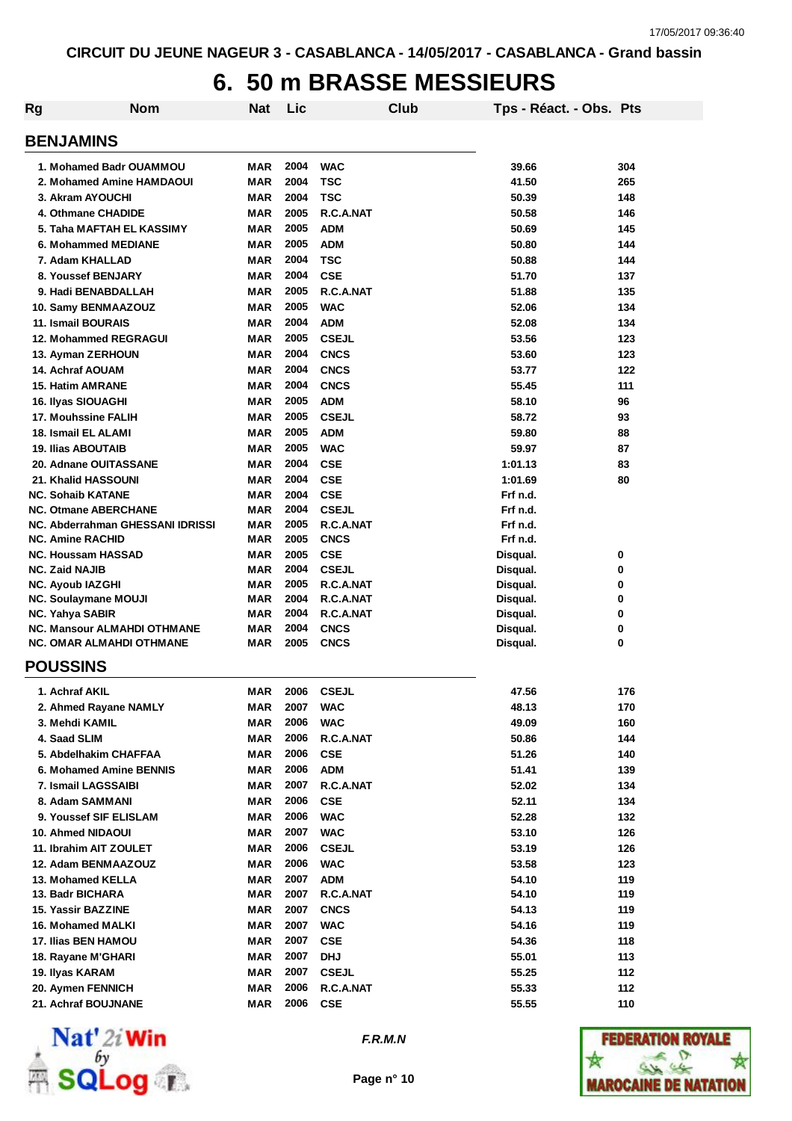# **6. 50 m BRASSE MESSIEURS**

| Rg                                                                    | <b>Nom</b> | <b>Nat</b>               | Lic          |                            | Club | Tps - Réact. - Obs. Pts |        |
|-----------------------------------------------------------------------|------------|--------------------------|--------------|----------------------------|------|-------------------------|--------|
| <b>BENJAMINS</b>                                                      |            |                          |              |                            |      |                         |        |
| 1. Mohamed Badr OUAMMOU                                               |            | <b>MAR</b>               | 2004         | <b>WAC</b>                 |      | 39.66                   | 304    |
| 2. Mohamed Amine HAMDAOUI                                             |            | <b>MAR</b>               | 2004         | <b>TSC</b>                 |      | 41.50                   | 265    |
| 3. Akram AYOUCHI                                                      |            | <b>MAR</b>               | 2004         | <b>TSC</b>                 |      | 50.39                   | 148    |
| 4. Othmane CHADIDE                                                    |            | <b>MAR</b>               | 2005         | R.C.A.NAT                  |      | 50.58                   | 146    |
| 5. Taha MAFTAH EL KASSIMY                                             |            | <b>MAR</b>               | 2005         | <b>ADM</b>                 |      | 50.69                   | 145    |
| 6. Mohammed MEDIANE                                                   |            | <b>MAR</b>               | 2005         | <b>ADM</b>                 |      | 50.80                   | 144    |
| 7. Adam KHALLAD                                                       |            | <b>MAR</b>               | 2004         | <b>TSC</b>                 |      | 50.88                   | 144    |
| 8. Youssef BENJARY                                                    |            | <b>MAR</b>               | 2004         | <b>CSE</b>                 |      | 51.70                   | 137    |
| 9. Hadi BENABDALLAH                                                   |            | <b>MAR</b>               | 2005         | R.C.A.NAT                  |      | 51.88                   | 135    |
| 10. Samy BENMAAZOUZ                                                   |            | <b>MAR</b>               | 2005         | <b>WAC</b>                 |      | 52.06                   | 134    |
| 11. Ismail BOURAIS                                                    |            | <b>MAR</b>               | 2004         | <b>ADM</b>                 |      | 52.08                   | 134    |
| <b>12. Mohammed REGRAGUI</b>                                          |            | <b>MAR</b>               | 2005         | <b>CSEJL</b>               |      | 53.56                   | 123    |
| 13. Ayman ZERHOUN                                                     |            | <b>MAR</b>               | 2004         | <b>CNCS</b>                |      | 53.60                   | 123    |
| <b>14. Achraf AOUAM</b>                                               |            | <b>MAR</b>               | 2004         | <b>CNCS</b>                |      | 53.77                   | 122    |
| <b>15. Hatim AMRANE</b>                                               |            | <b>MAR</b>               | 2004         | <b>CNCS</b>                |      | 55.45                   | 111    |
| 16. Ilyas SIOUAGHI                                                    |            | <b>MAR</b>               | 2005         | <b>ADM</b>                 |      | 58.10                   | 96     |
| 17. Mouhssine FALIH                                                   |            | <b>MAR</b>               | 2005         | <b>CSEJL</b>               |      | 58.72                   | 93     |
| 18. Ismail EL ALAMI                                                   |            | <b>MAR</b>               | 2005         | <b>ADM</b>                 |      | 59.80                   | 88     |
| <b>19. Ilias ABOUTAIB</b>                                             |            | <b>MAR</b>               | 2005         | <b>WAC</b>                 |      | 59.97                   | 87     |
| 20. Adnane OUITASSANE                                                 |            | <b>MAR</b>               | 2004         | <b>CSE</b>                 |      | 1:01.13                 | 83     |
| 21. Khalid HASSOUNI                                                   |            | <b>MAR</b>               | 2004         | <b>CSE</b>                 |      | 1:01.69                 | 80     |
| <b>NC. Sohaib KATANE</b>                                              |            | <b>MAR</b>               | 2004         | <b>CSE</b>                 |      | Frf n.d.                |        |
| <b>NC. Otmane ABERCHANE</b>                                           |            | <b>MAR</b>               | 2004         | <b>CSEJL</b>               |      | Frf n.d.                |        |
| NC. Abderrahman GHESSANI IDRISSI                                      |            | <b>MAR</b>               | 2005         | R.C.A.NAT                  |      | Frf n.d.                |        |
| <b>NC. Amine RACHID</b>                                               |            | <b>MAR</b>               | 2005         | <b>CNCS</b>                |      | Frf n.d.                |        |
| <b>NC. Houssam HASSAD</b>                                             |            | <b>MAR</b>               | 2005         | <b>CSE</b>                 |      | Disqual.                | 0      |
| <b>NC. Zaid NAJIB</b>                                                 |            | <b>MAR</b>               | 2004         | <b>CSEJL</b>               |      | Disqual.                | 0      |
| NC. Ayoub IAZGHI                                                      |            | <b>MAR</b>               | 2005         | R.C.A.NAT                  |      | Disqual.                | 0      |
| <b>NC. Soulaymane MOUJI</b>                                           |            | <b>MAR</b>               | 2004         | R.C.A.NAT                  |      | Disqual.                | 0      |
| NC. Yahya SABIR                                                       |            | <b>MAR</b><br><b>MAR</b> | 2004<br>2004 | R.C.A.NAT                  |      | Disqual.                | 0      |
| <b>NC. Mansour ALMAHDI OTHMANE</b><br><b>NC. OMAR ALMAHDI OTHMANE</b> |            | <b>MAR</b>               | 2005         | <b>CNCS</b><br><b>CNCS</b> |      | Disqual.<br>Disqual.    | 0<br>0 |
| <b>POUSSINS</b>                                                       |            |                          |              |                            |      |                         |        |
| 1. Achraf AKIL                                                        |            | <b>MAR</b>               | 2006         | <b>CSEJL</b>               |      | 47.56                   | 176    |
| 2. Ahmed Rayane NAMLY                                                 |            | MAR                      | 2007         | <b>WAC</b>                 |      | 48.13                   | 170    |
| 3. Mehdi KAMIL                                                        |            | <b>MAR</b>               | 2006         | <b>WAC</b>                 |      | 49.09                   | 160    |
| 4. Saad SLIM                                                          |            | <b>MAR</b>               | 2006         | R.C.A.NAT                  |      | 50.86                   | 144    |
| 5. Abdelhakim CHAFFAA                                                 |            | <b>MAR</b>               | 2006         | <b>CSE</b>                 |      | 51.26                   | 140    |
| 6. Mohamed Amine BENNIS                                               |            | <b>MAR</b>               | 2006         | <b>ADM</b>                 |      | 51.41                   | 139    |
| 7. Ismail LAGSSAIBI                                                   |            | <b>MAR</b>               | 2007         | R.C.A.NAT                  |      | 52.02                   | 134    |
| 8. Adam SAMMANI                                                       |            | MAR                      | 2006         | <b>CSE</b>                 |      | 52.11                   | 134    |
| 9. Youssef SIF ELISLAM                                                |            | <b>MAR</b>               | 2006         | <b>WAC</b>                 |      | 52.28                   | 132    |
| 10. Ahmed NIDAOUI                                                     |            | <b>MAR</b>               | 2007         | <b>WAC</b>                 |      | 53.10                   | 126    |
| 11. Ibrahim AIT ZOULET                                                |            | <b>MAR</b>               | 2006         | <b>CSEJL</b>               |      | 53.19                   | 126    |
| 12. Adam BENMAAZOUZ                                                   |            | <b>MAR</b>               | 2006         | <b>WAC</b>                 |      | 53.58                   | 123    |
| 13. Mohamed KELLA                                                     |            | <b>MAR</b>               | 2007         | <b>ADM</b>                 |      | 54.10                   | 119    |
| 13. Badr BICHARA                                                      |            | <b>MAR</b>               | 2007         | R.C.A.NAT                  |      | 54.10                   | 119    |
| 15. Yassir BAZZINE                                                    |            | <b>MAR</b>               | 2007         | <b>CNCS</b>                |      | 54.13                   | 119    |
| 16. Mohamed MALKI                                                     |            | <b>MAR</b>               | 2007         | <b>WAC</b>                 |      | 54.16                   | 119    |
| 17. Ilias BEN HAMOU                                                   |            | <b>MAR</b>               | 2007         | <b>CSE</b>                 |      | 54.36                   | 118    |
| 18. Rayane M'GHARI                                                    |            | <b>MAR</b>               | 2007         | DHJ                        |      | 55.01                   | 113    |
| 19. Ilyas KARAM                                                       |            | <b>MAR</b>               | 2007         | <b>CSEJL</b>               |      | 55.25                   | 112    |
| 20. Aymen FENNICH                                                     |            | <b>MAR</b>               | 2006         | R.C.A.NAT                  |      | 55.33                   | 112    |
| 21. Achraf BOUJNANE                                                   |            | <b>MAR</b>               | 2006         | <b>CSE</b>                 |      | 55.55                   | 110    |



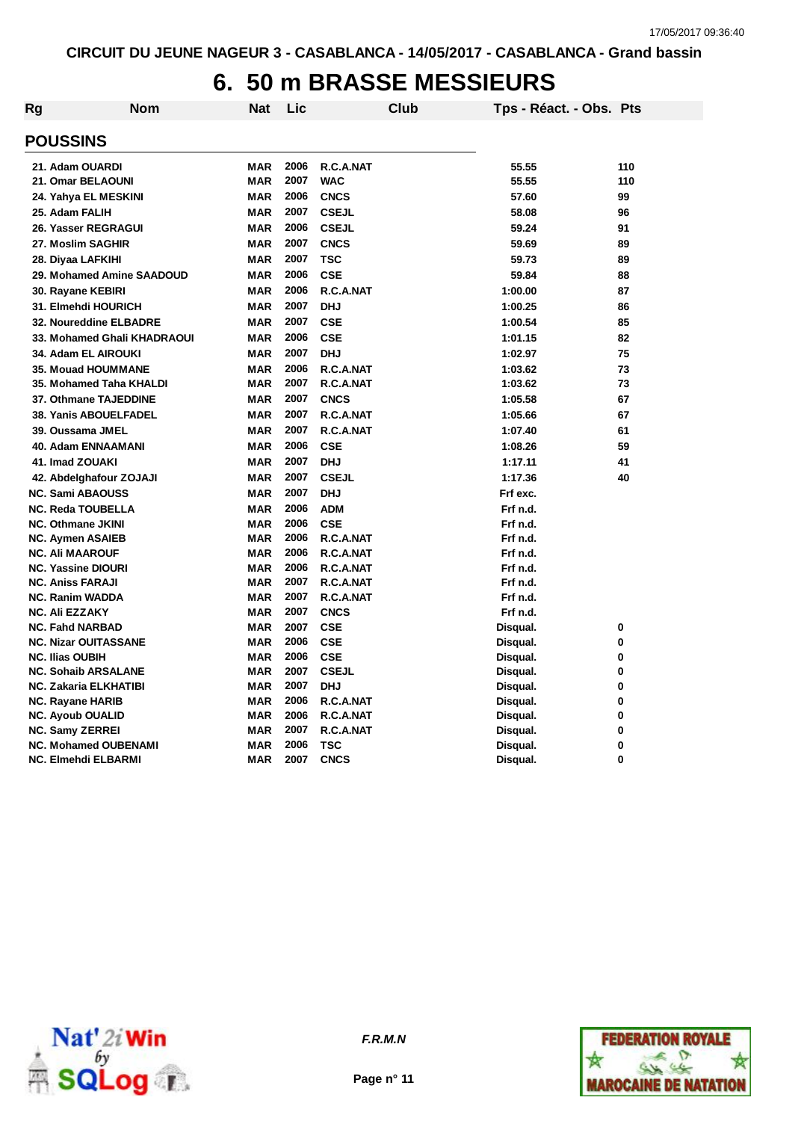# **6. 50 m BRASSE MESSIEURS**

| Rg | Nom                                              | Nat                      | Lic          |                            | <b>Club</b> | Tps - Réact. - Obs. Pts |        |
|----|--------------------------------------------------|--------------------------|--------------|----------------------------|-------------|-------------------------|--------|
|    | <b>POUSSINS</b>                                  |                          |              |                            |             |                         |        |
|    | 21. Adam OUARDI                                  | <b>MAR</b>               | 2006         | R.C.A.NAT                  |             | 55.55                   | 110    |
|    | 21. Omar BELAOUNI                                | <b>MAR</b>               | 2007         | <b>WAC</b>                 |             | 55.55                   | 110    |
|    | 24. Yahya EL MESKINI                             | <b>MAR</b>               | 2006         | <b>CNCS</b>                |             | 57.60                   | 99     |
|    | 25. Adam FALIH                                   | <b>MAR</b>               | 2007         | <b>CSEJL</b>               |             | 58.08                   | 96     |
|    | 26. Yasser REGRAGUI                              | <b>MAR</b>               | 2006         | <b>CSEJL</b>               |             | 59.24                   | 91     |
|    | 27. Moslim SAGHIR                                | <b>MAR</b>               | 2007         | <b>CNCS</b>                |             | 59.69                   | 89     |
|    | 28. Diyaa LAFKIHI                                | <b>MAR</b>               | 2007         | <b>TSC</b>                 |             | 59.73                   | 89     |
|    | 29. Mohamed Amine SAADOUD                        | <b>MAR</b>               | 2006         | <b>CSE</b>                 |             | 59.84                   | 88     |
|    | 30. Rayane KEBIRI                                | <b>MAR</b>               | 2006         | R.C.A.NAT                  |             | 1:00.00                 | 87     |
|    | 31. Elmehdi HOURICH                              | <b>MAR</b>               | 2007         | <b>DHJ</b>                 |             | 1:00.25                 | 86     |
|    | 32. Noureddine ELBADRE                           | <b>MAR</b>               | 2007         | <b>CSE</b>                 |             | 1:00.54                 | 85     |
|    | 33. Mohamed Ghali KHADRAOUI                      | <b>MAR</b>               | 2006         | <b>CSE</b>                 |             | 1:01.15                 | 82     |
|    | 34. Adam EL AIROUKI                              | <b>MAR</b>               | 2007         | <b>DHJ</b>                 |             | 1:02.97                 | 75     |
|    | 35. Mouad HOUMMANE                               | <b>MAR</b>               | 2006         | R.C.A.NAT                  |             | 1:03.62                 | 73     |
|    | 35. Mohamed Taha KHALDI                          | <b>MAR</b>               | 2007         | R.C.A.NAT                  |             | 1:03.62                 | 73     |
|    | 37. Othmane TAJEDDINE                            | <b>MAR</b>               | 2007         | <b>CNCS</b>                |             | 1:05.58                 | 67     |
|    | 38. Yanis ABOUELFADEL                            | <b>MAR</b>               | 2007         | R.C.A.NAT                  |             | 1:05.66                 | 67     |
|    | 39. Oussama JMEL                                 | <b>MAR</b>               | 2007         | R.C.A.NAT                  |             | 1:07.40                 | 61     |
|    | <b>40. Adam ENNAAMANI</b>                        | <b>MAR</b>               | 2006         | <b>CSE</b>                 |             | 1:08.26                 | 59     |
|    | 41. Imad ZOUAKI                                  | <b>MAR</b>               | 2007         | <b>DHJ</b>                 |             | 1:17.11                 | 41     |
|    | 42. Abdelghafour ZOJAJI                          | <b>MAR</b>               | 2007         | <b>CSEJL</b>               |             | 1:17.36                 | 40     |
|    | <b>NC. Sami ABAOUSS</b>                          | <b>MAR</b>               | 2007         | <b>DHJ</b>                 |             | Frf exc.                |        |
|    | <b>NC. Reda TOUBELLA</b>                         | <b>MAR</b>               | 2006         | <b>ADM</b>                 |             | Frf n.d.                |        |
|    | <b>NC. Othmane JKINI</b>                         | <b>MAR</b>               | 2006         | <b>CSE</b>                 |             | Frf n.d.                |        |
|    | <b>NC. Aymen ASAIEB</b>                          | <b>MAR</b>               | 2006         | R.C.A.NAT                  |             | Frf n.d.                |        |
|    | <b>NC. Ali MAAROUF</b>                           | <b>MAR</b>               | 2006         | R.C.A.NAT                  |             | Frf n.d.                |        |
|    | <b>NC. Yassine DIOURI</b>                        | <b>MAR</b>               | 2006         | R.C.A.NAT                  |             | Frf n.d.                |        |
|    | <b>NC. Aniss FARAJI</b>                          | <b>MAR</b>               | 2007         | R.C.A.NAT                  |             | Frf n.d.                |        |
|    | <b>NC. Ranim WADDA</b>                           | <b>MAR</b>               | 2007         | R.C.A.NAT                  |             | Frf n.d.                |        |
|    | <b>NC. Ali EZZAKY</b>                            | <b>MAR</b>               | 2007         | <b>CNCS</b>                |             | Frf n.d.                |        |
|    | <b>NC. Fahd NARBAD</b>                           | <b>MAR</b>               | 2007         | <b>CSE</b>                 |             | Disqual.                | 0      |
|    | <b>NC. Nizar OUITASSANE</b>                      | <b>MAR</b>               | 2006         | <b>CSE</b>                 |             | Disqual.                | 0      |
|    | <b>NC. Ilias OUBIH</b>                           | <b>MAR</b>               | 2006<br>2007 | <b>CSE</b>                 |             | Disqual.                | 0      |
|    | <b>NC. Sohaib ARSALANE</b>                       | <b>MAR</b><br><b>MAR</b> | 2007         | <b>CSEJL</b><br><b>DHJ</b> |             | Disqual.                | 0      |
|    | <b>NC. Zakaria ELKHATIBI</b><br>NC. Rayane HARIB | <b>MAR</b>               | 2006         | R.C.A.NAT                  |             | Disqual.<br>Disqual.    | 0<br>0 |
|    | <b>NC. Ayoub OUALID</b>                          | <b>MAR</b>               | 2006         | R.C.A.NAT                  |             | Disqual.                | 0      |
|    | <b>NC. Samy ZERREI</b>                           | <b>MAR</b>               | 2007         | R.C.A.NAT                  |             | Disqual.                | 0      |
|    | <b>NC. Mohamed OUBENAMI</b>                      | <b>MAR</b>               | 2006         | <b>TSC</b>                 |             | Disqual.                | 0      |
|    | NC. Elmehdi ELBARMI                              | <b>MAR</b>               | 2007         | <b>CNCS</b>                |             | Disqual.                | 0      |
|    |                                                  |                          |              |                            |             |                         |        |





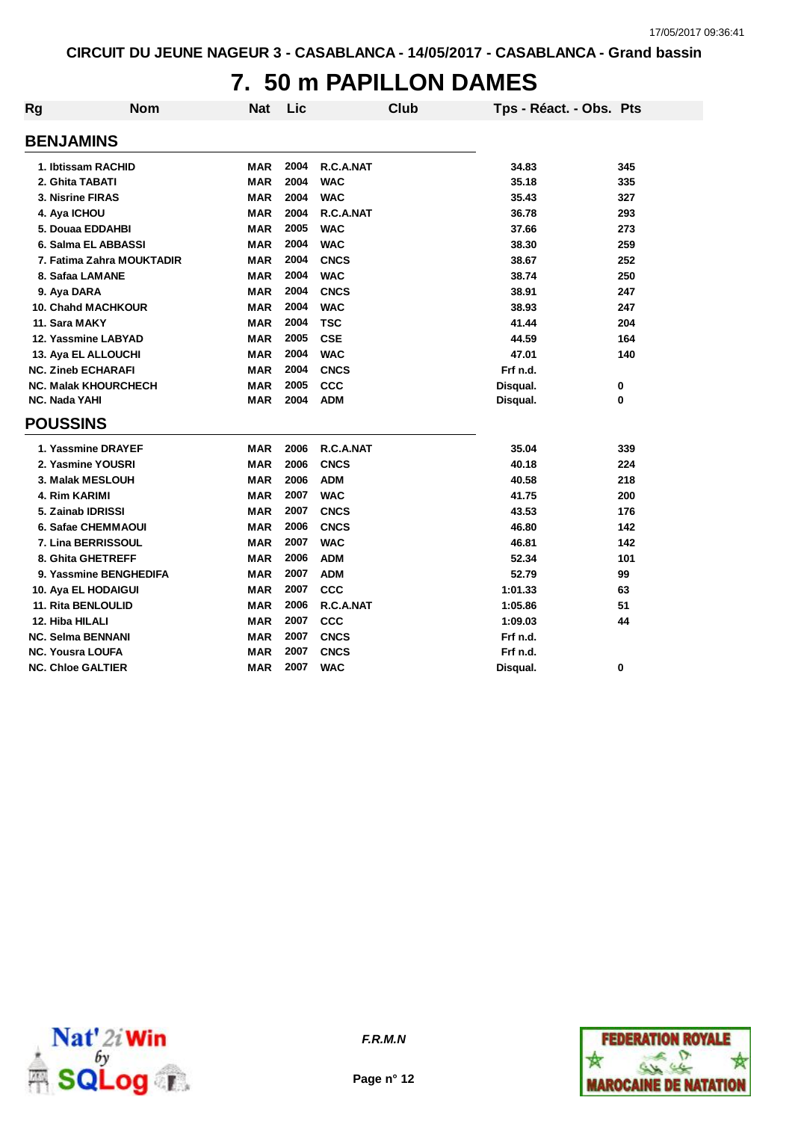#### **7. 50 m PAPILLON DAMES**

| Rg | <b>Nom</b>                  | <b>Nat</b> | Lic  | Club        | Tps - Réact. - Obs. Pts |     |
|----|-----------------------------|------------|------|-------------|-------------------------|-----|
|    | <b>BENJAMINS</b>            |            |      |             |                         |     |
|    | 1. Ibtissam RACHID          | <b>MAR</b> | 2004 | R.C.A.NAT   | 34.83                   | 345 |
|    | 2. Ghita TABATI             | <b>MAR</b> | 2004 | <b>WAC</b>  | 35.18                   | 335 |
|    | 3. Nisrine FIRAS            | <b>MAR</b> | 2004 | <b>WAC</b>  | 35.43                   | 327 |
|    | 4. Aya ICHOU                | <b>MAR</b> | 2004 | R.C.A.NAT   | 36.78                   | 293 |
|    | 5. Douaa EDDAHBI            | <b>MAR</b> | 2005 | <b>WAC</b>  | 37.66                   | 273 |
|    | 6. Salma EL ABBASSI         | <b>MAR</b> | 2004 | <b>WAC</b>  | 38.30                   | 259 |
|    | 7. Fatima Zahra MOUKTADIR   | <b>MAR</b> | 2004 | <b>CNCS</b> | 38.67                   | 252 |
|    | 8. Safaa LAMANE             | <b>MAR</b> | 2004 | <b>WAC</b>  | 38.74                   | 250 |
|    | 9. Aya DARA                 | <b>MAR</b> | 2004 | <b>CNCS</b> | 38.91                   | 247 |
|    | <b>10. Chahd MACHKOUR</b>   | <b>MAR</b> | 2004 | <b>WAC</b>  | 38.93                   | 247 |
|    | 11. Sara MAKY               | <b>MAR</b> | 2004 | <b>TSC</b>  | 41.44                   | 204 |
|    | 12. Yassmine LABYAD         | <b>MAR</b> | 2005 | <b>CSE</b>  | 44.59                   | 164 |
|    | 13. Aya EL ALLOUCHI         | <b>MAR</b> | 2004 | <b>WAC</b>  | 47.01                   | 140 |
|    | <b>NC. Zineb ECHARAFI</b>   | <b>MAR</b> | 2004 | <b>CNCS</b> | Frf n.d.                |     |
|    | <b>NC. Malak KHOURCHECH</b> | <b>MAR</b> | 2005 | CCC         | Disqual.                | 0   |
|    | <b>NC. Nada YAHI</b>        | <b>MAR</b> | 2004 | <b>ADM</b>  | Disqual.                | 0   |
|    | <b>POUSSINS</b>             |            |      |             |                         |     |
|    | 1. Yassmine DRAYEF          | <b>MAR</b> | 2006 | R.C.A.NAT   | 35.04                   | 339 |
|    | 2. Yasmine YOUSRI           | <b>MAR</b> | 2006 | <b>CNCS</b> | 40.18                   | 224 |
|    | <b>3. Malak MESLOUH</b>     | MAR        | 2006 | <b>ADM</b>  | 40.58                   | 218 |
|    | 4. Rim KARIMI               | <b>MAR</b> | 2007 | <b>WAC</b>  | 41.75                   | 200 |
|    | 5. Zainab IDRISSI           | <b>MAR</b> | 2007 | <b>CNCS</b> | 43.53                   | 176 |
|    | 6. Safae CHEMMAOUI          | <b>MAR</b> | 2006 | <b>CNCS</b> | 46.80                   | 142 |
|    | 7. Lina BERRISSOUL          | <b>MAR</b> | 2007 | <b>WAC</b>  | 46.81                   | 142 |
|    | 8. Ghita GHETREFF           | MAR        | 2006 | <b>ADM</b>  | 52.34                   | 101 |
|    | 9. Yassmine BENGHEDIFA      | <b>MAR</b> | 2007 | <b>ADM</b>  | 52.79                   | 99  |
|    | 10. Aya EL HODAIGUI         | <b>MAR</b> | 2007 | <b>CCC</b>  | 1:01.33                 | 63  |
|    | <b>11. Rita BENLOULID</b>   | <b>MAR</b> | 2006 | R.C.A.NAT   | 1:05.86                 | 51  |
|    | 12. Hiba HILALI             | <b>MAR</b> | 2007 | <b>CCC</b>  | 1:09.03                 | 44  |
|    | <b>NC. Selma BENNANI</b>    | <b>MAR</b> | 2007 | <b>CNCS</b> | Frf n.d.                |     |
|    | <b>NC. Yousra LOUFA</b>     | <b>MAR</b> | 2007 | <b>CNCS</b> | Frf n.d.                |     |
|    | <b>NC. Chloe GALTIER</b>    | <b>MAR</b> | 2007 | <b>WAC</b>  | Disqual.                | 0   |



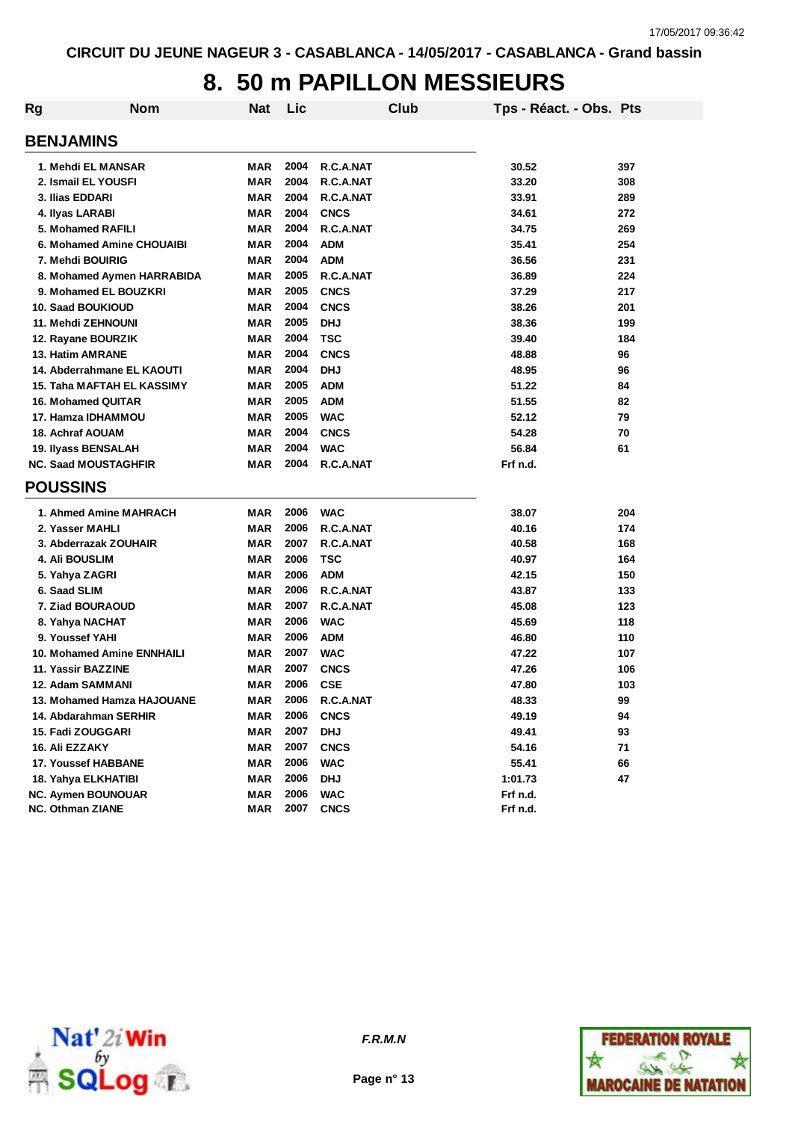### **8. 50 m PAPILLON MESSIEURS**

| Rg | <b>Nom</b>                        | <b>Nat</b> | Lic  |             | Club | Tps - Réact. - Obs. Pts |     |
|----|-----------------------------------|------------|------|-------------|------|-------------------------|-----|
|    | <b>BENJAMINS</b>                  |            |      |             |      |                         |     |
|    | 1. Mehdi EL MANSAR                | <b>MAR</b> | 2004 | R.C.A.NAT   |      | 30.52                   | 397 |
|    | 2. Ismail EL YOUSFI               | <b>MAR</b> | 2004 | R.C.A.NAT   |      | 33.20                   | 308 |
|    | 3. Ilias EDDARI                   | <b>MAR</b> | 2004 | R.C.A.NAT   |      | 33.91                   | 289 |
|    | 4. Ilyas LARABI                   | <b>MAR</b> | 2004 | <b>CNCS</b> |      | 34.61                   | 272 |
|    | 5. Mohamed RAFILI                 | <b>MAR</b> | 2004 | R.C.A.NAT   |      | 34.75                   | 269 |
|    | 6. Mohamed Amine CHOUAIBI         | <b>MAR</b> | 2004 | <b>ADM</b>  |      | 35.41                   | 254 |
|    | 7. Mehdi BOUIRIG                  | <b>MAR</b> | 2004 | <b>ADM</b>  |      | 36.56                   | 231 |
|    | 8. Mohamed Aymen HARRABIDA        | <b>MAR</b> | 2005 | R.C.A.NAT   |      | 36.89                   | 224 |
|    | 9. Mohamed EL BOUZKRI             | <b>MAR</b> | 2005 | <b>CNCS</b> |      | 37.29                   | 217 |
|    | <b>10. Saad BOUKIOUD</b>          | <b>MAR</b> | 2004 | <b>CNCS</b> |      | 38.26                   | 201 |
|    | 11. Mehdi ZEHNOUNI                | <b>MAR</b> | 2005 | <b>DHJ</b>  |      | 38.36                   | 199 |
|    | 12. Rayane BOURZIK                | <b>MAR</b> | 2004 | <b>TSC</b>  |      | 39.40                   | 184 |
|    | 13. Hatim AMRANE                  | <b>MAR</b> | 2004 | <b>CNCS</b> |      | 48.88                   | 96  |
|    | 14. Abderrahmane EL KAOUTI        | <b>MAR</b> | 2004 | <b>DHJ</b>  |      | 48.95                   | 96  |
|    | <b>15. Taha MAFTAH EL KASSIMY</b> | <b>MAR</b> | 2005 | <b>ADM</b>  |      | 51.22                   | 84  |
|    | 16. Mohamed QUITAR                | <b>MAR</b> | 2005 | <b>ADM</b>  |      | 51.55                   | 82  |
|    | 17. Hamza IDHAMMOU                | MAR        | 2005 | <b>WAC</b>  |      | 52.12                   | 79  |
|    | <b>18. Achraf AOUAM</b>           | <b>MAR</b> | 2004 | <b>CNCS</b> |      | 54.28                   | 70  |
|    | 19. Ilyass BENSALAH               | MAR        | 2004 | <b>WAC</b>  |      | 56.84                   | 61  |
|    | <b>NC. Saad MOUSTAGHFIR</b>       | MAR        | 2004 | R.C.A.NAT   |      | Frf n.d.                |     |
|    | <b>POUSSINS</b>                   |            |      |             |      |                         |     |
|    | 1. Ahmed Amine MAHRACH            | MAR        | 2006 | <b>WAC</b>  |      | 38.07                   | 204 |
|    | 2. Yasser MAHLI                   | <b>MAR</b> | 2006 | R.C.A.NAT   |      | 40.16                   | 174 |
|    | 3. Abderrazak ZOUHAIR             | <b>MAR</b> | 2007 | R.C.A.NAT   |      | 40.58                   | 168 |
|    | 4. Ali BOUSLIM                    | <b>MAR</b> | 2006 | <b>TSC</b>  |      | 40.97                   | 164 |
|    | 5. Yahya ZAGRI                    | <b>MAR</b> | 2006 | <b>ADM</b>  |      | 42.15                   | 150 |
|    | 6. Saad SLIM                      | <b>MAR</b> | 2006 | R.C.A.NAT   |      | 43.87                   | 133 |
|    | 7. Ziad BOURAOUD                  | MAR        | 2007 | R.C.A.NAT   |      | 45.08                   | 123 |
|    | 8. Yahya NACHAT                   | MAR        | 2006 | <b>WAC</b>  |      | 45.69                   | 118 |
|    | 9. Youssef YAHI                   | MAR        | 2006 | <b>ADM</b>  |      | 46.80                   | 110 |
|    | <b>10. Mohamed Amine ENNHAILI</b> | MAR        | 2007 | <b>WAC</b>  |      | 47.22                   | 107 |
|    | 11. Yassir BAZZINE                | MAR        | 2007 | <b>CNCS</b> |      | 47.26                   | 106 |
|    | 12. Adam SAMMANI                  | MAR        | 2006 | <b>CSE</b>  |      | 47.80                   | 103 |
|    | 13. Mohamed Hamza HAJOUANE        | MAR        | 2006 | R.C.A.NAT   |      | 48.33                   | 99  |
|    | 14. Abdarahman SERHIR             | MAR        | 2006 | <b>CNCS</b> |      | 49.19                   | 94  |
|    | 15. Fadi ZOUGGARI                 | <b>MAR</b> | 2007 | <b>DHJ</b>  |      | 49.41                   | 93  |
|    | 16. Ali EZZAKY                    | <b>MAR</b> | 2007 | <b>CNCS</b> |      | 54.16                   | 71  |
|    | 17. Youssef HABBANE               | <b>MAR</b> | 2006 | <b>WAC</b>  |      | 55.41                   | 66  |
|    | 18. Yahya ELKHATIBI               | <b>MAR</b> | 2006 | <b>DHJ</b>  |      | 1:01.73                 | 47  |
|    | NC. Aymen BOUNOUAR                | <b>MAR</b> | 2006 | <b>WAC</b>  |      | Frf n.d.                |     |
|    | <b>NC. Othman ZIANE</b>           | MAR        | 2007 | <b>CNCS</b> |      | Frf n.d.                |     |



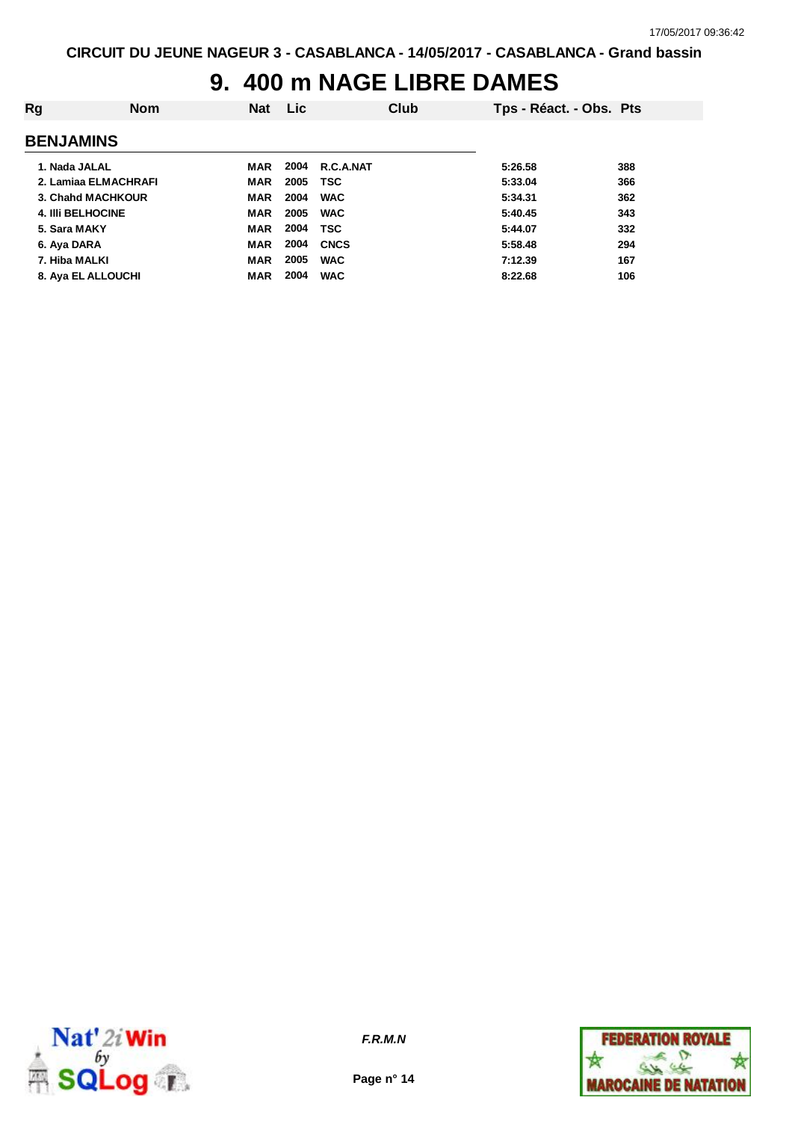### **9. 400 m NAGE LIBRE DAMES**

| Rg                       | <b>Nom</b>           | <b>Nat</b> | <b>Lic</b> | Club        | Tps - Réact. - Obs. Pts |     |
|--------------------------|----------------------|------------|------------|-------------|-------------------------|-----|
| <b>BENJAMINS</b>         |                      |            |            |             |                         |     |
| 1. Nada JALAL            |                      | MAR        | 2004       | R.C.A.NAT   | 5:26.58                 | 388 |
|                          | 2. Lamiaa ELMACHRAFI | <b>MAR</b> | 2005       | <b>TSC</b>  | 5:33.04                 | 366 |
|                          | 3. Chahd MACHKOUR    | <b>MAR</b> | 2004       | <b>WAC</b>  | 5:34.31                 | 362 |
| <b>4. IIII BELHOCINE</b> |                      | <b>MAR</b> | 2005       | <b>WAC</b>  | 5:40.45                 | 343 |
| 5. Sara MAKY             |                      | <b>MAR</b> | 2004       | <b>TSC</b>  | 5:44.07                 | 332 |
| 6. Aya DARA              |                      | <b>MAR</b> | 2004       | <b>CNCS</b> | 5:58.48                 | 294 |
| 7. Hiba MALKI            |                      | <b>MAR</b> | 2005       | <b>WAC</b>  | 7:12.39                 | 167 |
|                          | 8. Aya EL ALLOUCHI   | <b>MAR</b> | 2004       | <b>WAC</b>  | 8:22.68                 | 106 |
|                          |                      |            |            |             |                         |     |



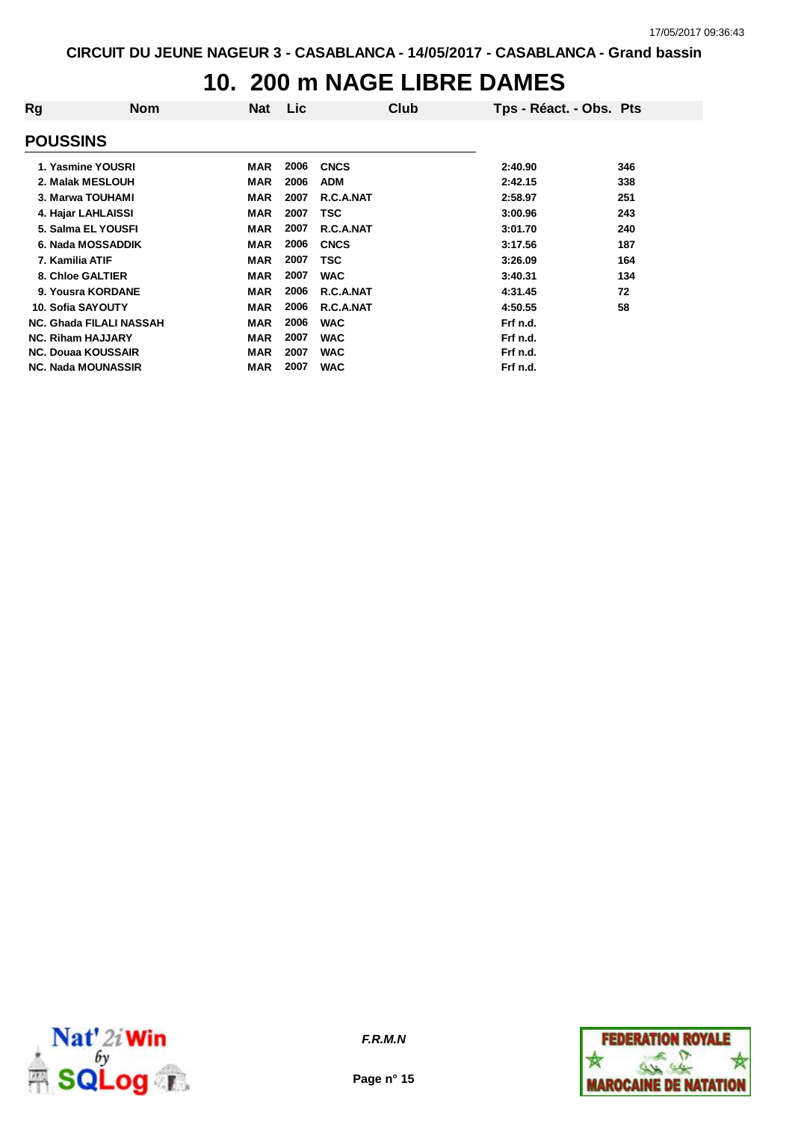### **10. 200 m NAGE LIBRE DAMES**

| Rg                             | <b>Nom</b> | Nat        | Lic  |             | Club | Tps - Réact. - Obs. Pts |     |
|--------------------------------|------------|------------|------|-------------|------|-------------------------|-----|
| <b>POUSSINS</b>                |            |            |      |             |      |                         |     |
| 1. Yasmine YOUSRI              |            | MAR        | 2006 | <b>CNCS</b> |      | 2:40.90                 | 346 |
| 2. Malak MESLOUH               |            | <b>MAR</b> | 2006 | <b>ADM</b>  |      | 2:42.15                 | 338 |
| 3. Marwa TOUHAMI               |            | <b>MAR</b> | 2007 | R.C.A.NAT   |      | 2:58.97                 | 251 |
| 4. Hajar LAHLAISSI             |            | <b>MAR</b> | 2007 | TSC         |      | 3:00.96                 | 243 |
| 5. Salma EL YOUSFI             |            | MAR        | 2007 | R.C.A.NAT   |      | 3:01.70                 | 240 |
| 6. Nada MOSSADDIK              |            | MAR        | 2006 | <b>CNCS</b> |      | 3:17.56                 | 187 |
| 7. Kamilia ATIF                |            | <b>MAR</b> | 2007 | <b>TSC</b>  |      | 3:26.09                 | 164 |
| 8. Chloe GALTIER               |            | <b>MAR</b> | 2007 | <b>WAC</b>  |      | 3:40.31                 | 134 |
| 9. Yousra KORDANE              |            | <b>MAR</b> | 2006 | R.C.A.NAT   |      | 4:31.45                 | 72  |
| 10. Sofia SAYOUTY              |            | <b>MAR</b> | 2006 | R.C.A.NAT   |      | 4:50.55                 | 58  |
| <b>NC. Ghada FILALI NASSAH</b> |            | <b>MAR</b> | 2006 | <b>WAC</b>  |      | Frf n.d.                |     |
| <b>NC. Riham HAJJARY</b>       |            | <b>MAR</b> | 2007 | <b>WAC</b>  |      | Frf n.d.                |     |
| <b>NC. Douaa KOUSSAIR</b>      |            | <b>MAR</b> | 2007 | <b>WAC</b>  |      | Frf n.d.                |     |
| <b>NC. Nada MOUNASSIR</b>      |            | <b>MAR</b> | 2007 | <b>WAC</b>  |      | Frf n.d.                |     |



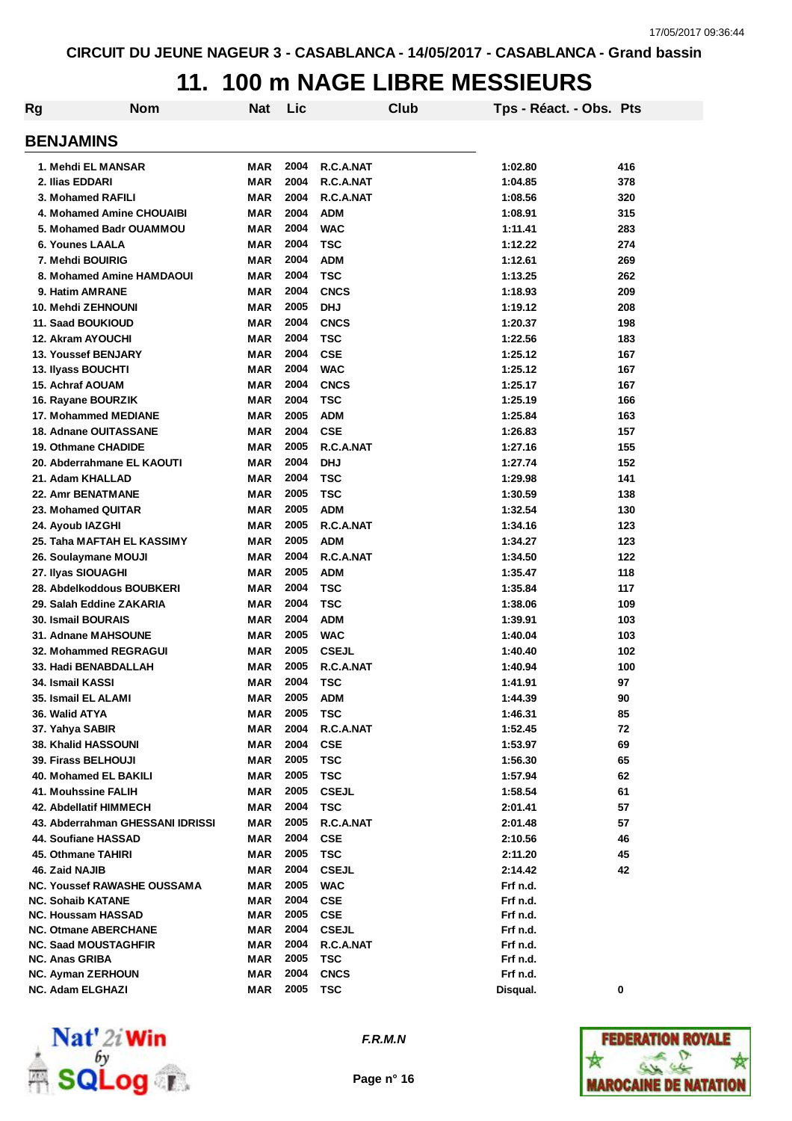### **11. 100 m NAGE LIBRE MESSIEURS**

| Rg | <b>Nom</b>                                     | <b>Nat</b> | Lic          |              | <b>Club</b> | Tps - Réact. - Obs. Pts |     |
|----|------------------------------------------------|------------|--------------|--------------|-------------|-------------------------|-----|
|    | <b>BENJAMINS</b>                               |            |              |              |             |                         |     |
|    | 1. Mehdi EL MANSAR                             | MAR        | 2004         | R.C.A.NAT    |             | 1:02.80                 | 416 |
|    | 2. Ilias EDDARI                                | <b>MAR</b> | 2004         | R.C.A.NAT    |             | 1:04.85                 | 378 |
|    | 3. Mohamed RAFILI                              | <b>MAR</b> | 2004         | R.C.A.NAT    |             | 1:08.56                 | 320 |
|    | 4. Mohamed Amine CHOUAIBI                      | <b>MAR</b> | 2004         | <b>ADM</b>   |             | 1:08.91                 | 315 |
|    | 5. Mohamed Badr OUAMMOU                        | <b>MAR</b> | 2004         | <b>WAC</b>   |             | 1:11.41                 | 283 |
|    | <b>6. Younes LAALA</b>                         | <b>MAR</b> | 2004         | <b>TSC</b>   |             | 1:12.22                 | 274 |
|    | 7. Mehdi BOUIRIG                               | <b>MAR</b> | 2004         | <b>ADM</b>   |             | 1:12.61                 | 269 |
|    | 8. Mohamed Amine HAMDAOUI                      | <b>MAR</b> | 2004         | <b>TSC</b>   |             | 1:13.25                 | 262 |
|    | 9. Hatim AMRANE                                | <b>MAR</b> | 2004         | <b>CNCS</b>  |             | 1:18.93                 | 209 |
|    | 10. Mehdi ZEHNOUNI                             | <b>MAR</b> | 2005         | <b>DHJ</b>   |             | 1:19.12                 | 208 |
|    | <b>11. Saad BOUKIOUD</b>                       | <b>MAR</b> | 2004         | <b>CNCS</b>  |             | 1:20.37                 | 198 |
|    | <b>12. Akram AYOUCHI</b>                       | <b>MAR</b> | 2004         | <b>TSC</b>   |             | 1:22.56                 | 183 |
|    | 13. Youssef BENJARY                            | <b>MAR</b> | 2004         | <b>CSE</b>   |             | 1:25.12                 | 167 |
|    | 13. Ilyass BOUCHTI                             | <b>MAR</b> | 2004         | <b>WAC</b>   |             | 1:25.12                 | 167 |
|    | 15. Achraf AOUAM                               | <b>MAR</b> | 2004         | <b>CNCS</b>  |             | 1:25.17                 | 167 |
|    | 16. Rayane BOURZIK                             | <b>MAR</b> | 2004         | <b>TSC</b>   |             | 1:25.19                 | 166 |
|    | 17. Mohammed MEDIANE                           | <b>MAR</b> | 2005         | <b>ADM</b>   |             | 1:25.84                 | 163 |
|    | <b>18. Adnane OUITASSANE</b>                   | <b>MAR</b> | 2004         | <b>CSE</b>   |             | 1:26.83                 | 157 |
|    | <b>19. Othmane CHADIDE</b>                     | <b>MAR</b> | 2005         | R.C.A.NAT    |             | 1:27.16                 | 155 |
|    |                                                |            | 2004         |              |             |                         |     |
|    | 20. Abderrahmane EL KAOUTI<br>21. Adam KHALLAD | <b>MAR</b> | 2004         | <b>DHJ</b>   |             | 1:27.74                 | 152 |
|    |                                                | <b>MAR</b> |              | <b>TSC</b>   |             | 1:29.98                 | 141 |
|    | <b>22. Amr BENATMANE</b>                       | <b>MAR</b> | 2005<br>2005 | <b>TSC</b>   |             | 1:30.59                 | 138 |
|    | 23. Mohamed QUITAR                             | <b>MAR</b> |              | <b>ADM</b>   |             | 1:32.54                 | 130 |
|    | 24. Ayoub IAZGHI                               | MAR        | 2005         | R.C.A.NAT    |             | 1:34.16                 | 123 |
|    | 25. Taha MAFTAH EL KASSIMY                     | <b>MAR</b> | 2005         | <b>ADM</b>   |             | 1:34.27                 | 123 |
|    | 26. Soulaymane MOUJI                           | <b>MAR</b> | 2004         | R.C.A.NAT    |             | 1:34.50                 | 122 |
|    | 27. Ilyas SIOUAGHI                             | <b>MAR</b> | 2005         | <b>ADM</b>   |             | 1:35.47                 | 118 |
|    | 28. Abdelkoddous BOUBKERI                      | MAR        | 2004         | <b>TSC</b>   |             | 1:35.84                 | 117 |
|    | 29. Salah Eddine ZAKARIA                       | MAR        | 2004         | <b>TSC</b>   |             | 1:38.06                 | 109 |
|    | <b>30. Ismail BOURAIS</b>                      | MAR        | 2004         | <b>ADM</b>   |             | 1:39.91                 | 103 |
|    | 31. Adnane MAHSOUNE                            | <b>MAR</b> | 2005         | <b>WAC</b>   |             | 1:40.04                 | 103 |
|    | <b>32. Mohammed REGRAGUI</b>                   | <b>MAR</b> | 2005         | <b>CSEJL</b> |             | 1:40.40                 | 102 |
|    | 33. Hadi BENABDALLAH                           | <b>MAR</b> | 2005         | R.C.A.NAT    |             | 1:40.94                 | 100 |
|    | 34. Ismail KASSI                               | <b>MAR</b> | 2004         | <b>TSC</b>   |             | 1:41.91                 | 97  |
|    | 35. Ismail EL ALAMI                            | MAR        | 2005         | ADM          |             | 1:44.39                 | 90  |
|    | 36. Walid ATYA                                 | MAR        | 2005         | <b>TSC</b>   |             | 1:46.31                 | 85  |
|    | 37. Yahya SABIR                                | <b>MAR</b> | 2004         | R.C.A.NAT    |             | 1:52.45                 | 72  |
|    | <b>38. Khalid HASSOUNI</b>                     | <b>MAR</b> | 2004         | <b>CSE</b>   |             | 1:53.97                 | 69  |
|    | 39. Firass BELHOUJI                            | <b>MAR</b> | 2005         | <b>TSC</b>   |             | 1:56.30                 | 65  |
|    | 40. Mohamed EL BAKILI                          | <b>MAR</b> | 2005         | <b>TSC</b>   |             | 1:57.94                 | 62  |
|    | 41. Mouhssine FALIH                            | MAR        | 2005         | <b>CSEJL</b> |             | 1:58.54                 | 61  |
|    | 42. Abdellatif HIMMECH                         | <b>MAR</b> | 2004         | <b>TSC</b>   |             | 2:01.41                 | 57  |
|    | 43. Abderrahman GHESSANI IDRISSI               | <b>MAR</b> | 2005         | R.C.A.NAT    |             | 2:01.48                 | 57  |
|    | 44. Soufiane HASSAD                            | <b>MAR</b> | 2004         | <b>CSE</b>   |             | 2:10.56                 | 46  |
|    | 45. Othmane TAHIRI                             | <b>MAR</b> | 2005         | <b>TSC</b>   |             | 2:11.20                 | 45  |
|    | 46. Zaid NAJIB                                 | <b>MAR</b> | 2004         | <b>CSEJL</b> |             | 2:14.42                 | 42  |
|    | <b>NC. Youssef RAWASHE OUSSAMA</b>             | <b>MAR</b> | 2005         | <b>WAC</b>   |             | Frf n.d.                |     |
|    | <b>NC. Sohaib KATANE</b>                       | MAR        | 2004         | <b>CSE</b>   |             | Frf n.d.                |     |
|    | <b>NC. Houssam HASSAD</b>                      | <b>MAR</b> | 2005         | <b>CSE</b>   |             | Frf n.d.                |     |
|    | <b>NC. Otmane ABERCHANE</b>                    | <b>MAR</b> | 2004         | <b>CSEJL</b> |             | Frf n.d.                |     |
|    | <b>NC. Saad MOUSTAGHFIR</b>                    | <b>MAR</b> | 2004         | R.C.A.NAT    |             | Frf n.d.                |     |
|    | <b>NC. Anas GRIBA</b>                          | <b>MAR</b> | 2005         | <b>TSC</b>   |             | Frf n.d.                |     |
|    | <b>NC. Ayman ZERHOUN</b>                       | <b>MAR</b> | 2004         | <b>CNCS</b>  |             | Frf n.d.                |     |
|    | NC. Adam ELGHAZI                               | <b>MAR</b> | 2005         | <b>TSC</b>   |             | Disqual.                | 0   |



*F.R.M.N*

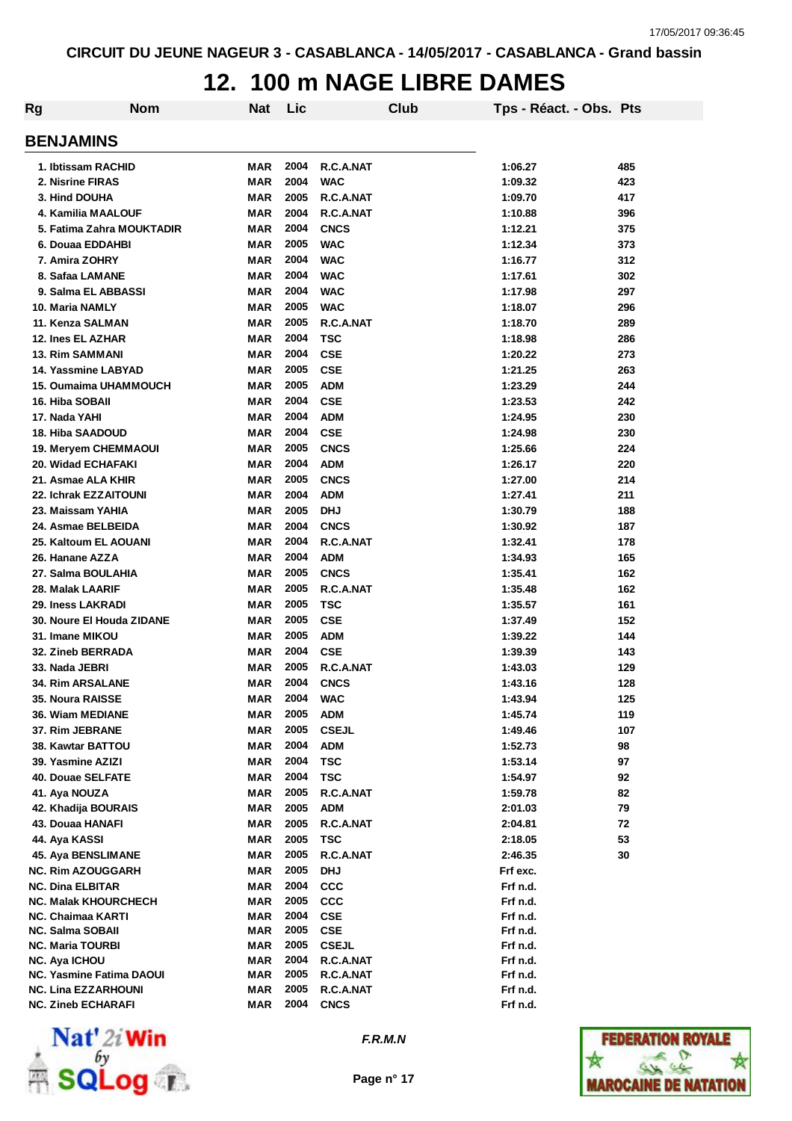### **12. 100 m NAGE LIBRE DAMES**

| Rg                                                      | <b>Nom</b> | <b>Nat</b>        | Lic          |                          | Club | Tps - Réact. - Obs. Pts |     |
|---------------------------------------------------------|------------|-------------------|--------------|--------------------------|------|-------------------------|-----|
| <b>BENJAMINS</b>                                        |            |                   |              |                          |      |                         |     |
| 1. Ibtissam RACHID                                      |            | MAR               | 2004         | R.C.A.NAT                |      | 1:06.27                 | 485 |
| 2. Nisrine FIRAS                                        |            | <b>MAR</b>        | 2004         | <b>WAC</b>               |      | 1:09.32                 | 423 |
| 3. Hind DOUHA                                           |            | <b>MAR</b>        | 2005         | R.C.A.NAT                |      | 1:09.70                 | 417 |
| 4. Kamilia MAALOUF                                      |            | <b>MAR</b>        | 2004         | R.C.A.NAT                |      | 1:10.88                 | 396 |
| 5. Fatima Zahra MOUKTADIR                               |            | <b>MAR</b>        | 2004         | <b>CNCS</b>              |      | 1:12.21                 | 375 |
| 6. Douaa EDDAHBI                                        |            | <b>MAR</b>        | 2005         | <b>WAC</b>               |      | 1:12.34                 | 373 |
| 7. Amira ZOHRY                                          |            | <b>MAR</b>        | 2004         | <b>WAC</b>               |      | 1:16.77                 | 312 |
| 8. Safaa LAMANE                                         |            | <b>MAR</b>        | 2004         | <b>WAC</b>               |      | 1:17.61                 | 302 |
| 9. Salma EL ABBASSI                                     |            | <b>MAR</b>        | 2004         | <b>WAC</b>               |      | 1:17.98                 | 297 |
| 10. Maria NAMLY                                         |            | <b>MAR</b>        | 2005         | <b>WAC</b>               |      | 1:18.07                 | 296 |
| 11. Kenza SALMAN                                        |            | <b>MAR</b>        | 2005         | R.C.A.NAT                |      | 1:18.70                 | 289 |
| 12. Ines EL AZHAR                                       |            | <b>MAR</b>        | 2004         | <b>TSC</b>               |      | 1:18.98                 | 286 |
| <b>13. Rim SAMMANI</b>                                  |            | <b>MAR</b>        | 2004         | <b>CSE</b>               |      | 1:20.22                 | 273 |
| 14. Yassmine LABYAD                                     |            | MAR               | 2005         | <b>CSE</b>               |      | 1:21.25                 | 263 |
| <b>15. Oumaima UHAMMOUCH</b>                            |            | MAR               | 2005         | <b>ADM</b>               |      | 1:23.29                 | 244 |
| 16. Hiba SOBAII                                         |            | <b>MAR</b>        | 2004         | <b>CSE</b>               |      | 1:23.53                 | 242 |
| 17. Nada YAHI                                           |            | <b>MAR</b>        | 2004         | <b>ADM</b>               |      | 1:24.95                 | 230 |
| <b>18. Hiba SAADOUD</b>                                 |            | <b>MAR</b>        | 2004         | <b>CSE</b>               |      | 1:24.98                 | 230 |
| 19. Meryem CHEMMAOUI                                    |            | MAR               | 2005         | <b>CNCS</b>              |      | 1:25.66                 | 224 |
| 20. Widad ECHAFAKI                                      |            | <b>MAR</b>        | 2004         | <b>ADM</b>               |      | 1:26.17                 | 220 |
| 21. Asmae ALA KHIR                                      |            | <b>MAR</b>        | 2005         | <b>CNCS</b>              |      | 1:27.00                 | 214 |
| 22. Ichrak EZZAITOUNI                                   |            | <b>MAR</b>        | 2004         | <b>ADM</b>               |      | 1:27.41                 | 211 |
| 23. Maissam YAHIA                                       |            | <b>MAR</b>        | 2005         | <b>DHJ</b>               |      | 1:30.79                 | 188 |
| 24. Asmae BELBEIDA                                      |            | <b>MAR</b>        | 2004         | <b>CNCS</b>              |      | 1:30.92                 | 187 |
| 25. Kaltoum EL AOUANI                                   |            | <b>MAR</b>        | 2004         | R.C.A.NAT                |      | 1:32.41                 | 178 |
| 26. Hanane AZZA                                         |            | <b>MAR</b>        | 2004         | <b>ADM</b>               |      | 1:34.93                 | 165 |
| 27. Salma BOULAHIA                                      |            | <b>MAR</b>        | 2005         | <b>CNCS</b>              |      | 1:35.41                 | 162 |
| 28. Malak LAARIF                                        |            | <b>MAR</b>        | 2005         | R.C.A.NAT                |      | 1:35.48                 | 162 |
| 29. Iness LAKRADI                                       |            | <b>MAR</b>        | 2005         | <b>TSC</b>               |      | 1:35.57                 | 161 |
| 30. Noure El Houda ZIDANE                               |            | <b>MAR</b>        | 2005         | <b>CSE</b>               |      | 1:37.49                 | 152 |
| 31. Imane MIKOU                                         |            | <b>MAR</b>        | 2005         | <b>ADM</b>               |      | 1:39.22                 | 144 |
| 32. Zineb BERRADA                                       |            | <b>MAR</b>        | 2004         | <b>CSE</b>               |      | 1:39.39                 | 143 |
| 33. Nada JEBRI                                          |            | MAR               | 2005         | R.C.A.NAT                |      |                         | 129 |
| <b>34. Rim ARSALANE</b>                                 |            | <b>MAR</b>        | 2004         | <b>CNCS</b>              |      | 1:43.03<br>1:43.16      |     |
|                                                         |            |                   |              |                          |      |                         | 128 |
| 35. Noura RAISSE                                        |            | MAR               | 2004         | <b>WAC</b>               |      | 1:43.94                 | 125 |
| 36. Wiam MEDIANE                                        |            | MAR               | 2005         | <b>ADM</b>               |      | 1:45.74                 | 119 |
| 37. Rim JEBRANE                                         |            | <b>MAR</b>        | 2005         | <b>CSEJL</b>             |      | 1:49.46                 | 107 |
| 38. Kawtar BATTOU                                       |            | <b>MAR</b>        | 2004         | <b>ADM</b>               |      | 1:52.73                 | 98  |
| 39. Yasmine AZIZI                                       |            | MAR               | 2004         | <b>TSC</b>               |      | 1:53.14                 | 97  |
| 40. Douae SELFATE                                       |            | MAR               | 2004         | <b>TSC</b>               |      | 1:54.97                 | 92  |
| 41. Aya NOUZA                                           |            | MAR               | 2005         | R.C.A.NAT                |      | 1:59.78                 | 82  |
| 42. Khadija BOURAIS                                     |            | MAR               | 2005         | <b>ADM</b>               |      | 2:01.03                 | 79  |
| 43. Douaa HANAFI                                        |            | MAR               | 2005         | R.C.A.NAT                |      | 2:04.81                 | 72  |
| 44. Aya KASSI                                           |            | MAR               | 2005         | <b>TSC</b>               |      | 2:18.05                 | 53  |
| 45. Aya BENSLIMANE                                      |            | MAR               | 2005         | R.C.A.NAT                |      | 2:46.35                 | 30  |
| <b>NC. Rim AZOUGGARH</b>                                |            | MAR               | 2005         | <b>DHJ</b>               |      | Frf exc.                |     |
| <b>NC. Dina ELBITAR</b>                                 |            | <b>MAR</b>        | 2004         | <b>CCC</b>               |      | Frf n.d.                |     |
| <b>NC. Malak KHOURCHECH</b><br><b>NC. Chaimaa KARTI</b> |            | <b>MAR</b>        | 2005<br>2004 | <b>CCC</b><br><b>CSE</b> |      | Frf n.d.                |     |
| <b>NC. Salma SOBAII</b>                                 |            | MAR<br><b>MAR</b> | 2005         | <b>CSE</b>               |      | Frf n.d.<br>Frf n.d.    |     |
| <b>NC. Maria TOURBI</b>                                 |            | <b>MAR</b>        | 2005         | <b>CSEJL</b>             |      | Frf n.d.                |     |
| <b>NC. Aya ICHOU</b>                                    |            | MAR               | 2004         | R.C.A.NAT                |      | Frf n.d.                |     |
| <b>NC. Yasmine Fatima DAOUI</b>                         |            | MAR               | 2005         | R.C.A.NAT                |      | Frf n.d.                |     |
| <b>NC. Lina EZZARHOUNI</b>                              |            | <b>MAR</b>        | 2005         | R.C.A.NAT                |      | Frf n.d.                |     |
| <b>NC. Zineb ECHARAFI</b>                               |            | MAR               | 2004         | <b>CNCS</b>              |      | Frf n.d.                |     |



*F.R.M.N*

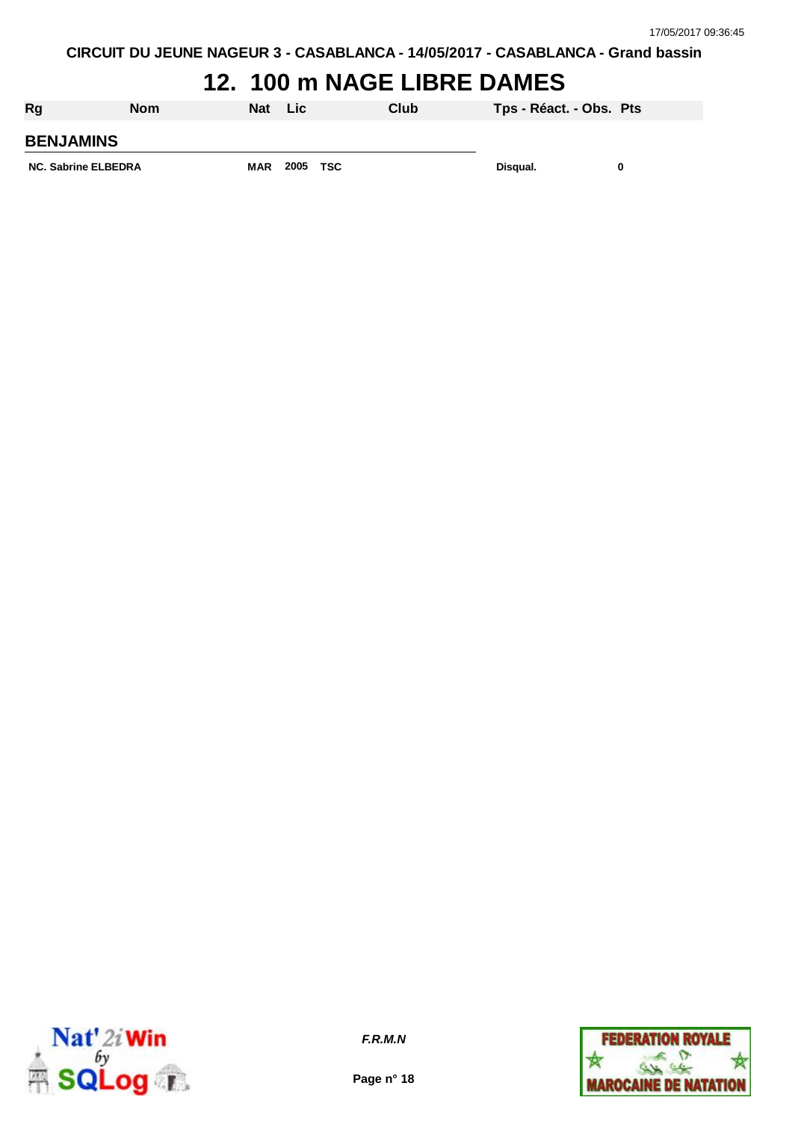### **12. 100 m NAGE LIBRE DAMES**

| Rg                         | <b>Nom</b> | <b>Nat</b> | - Lic |     | Club | Tps - Réact. - Obs. Pts |   |
|----------------------------|------------|------------|-------|-----|------|-------------------------|---|
| <b>BENJAMINS</b>           |            |            |       |     |      |                         |   |
| <b>NC. Sabrine ELBEDRA</b> |            | <b>MAR</b> | 2005  | TSC |      | Disqual.                | 0 |



**Page n° 18**

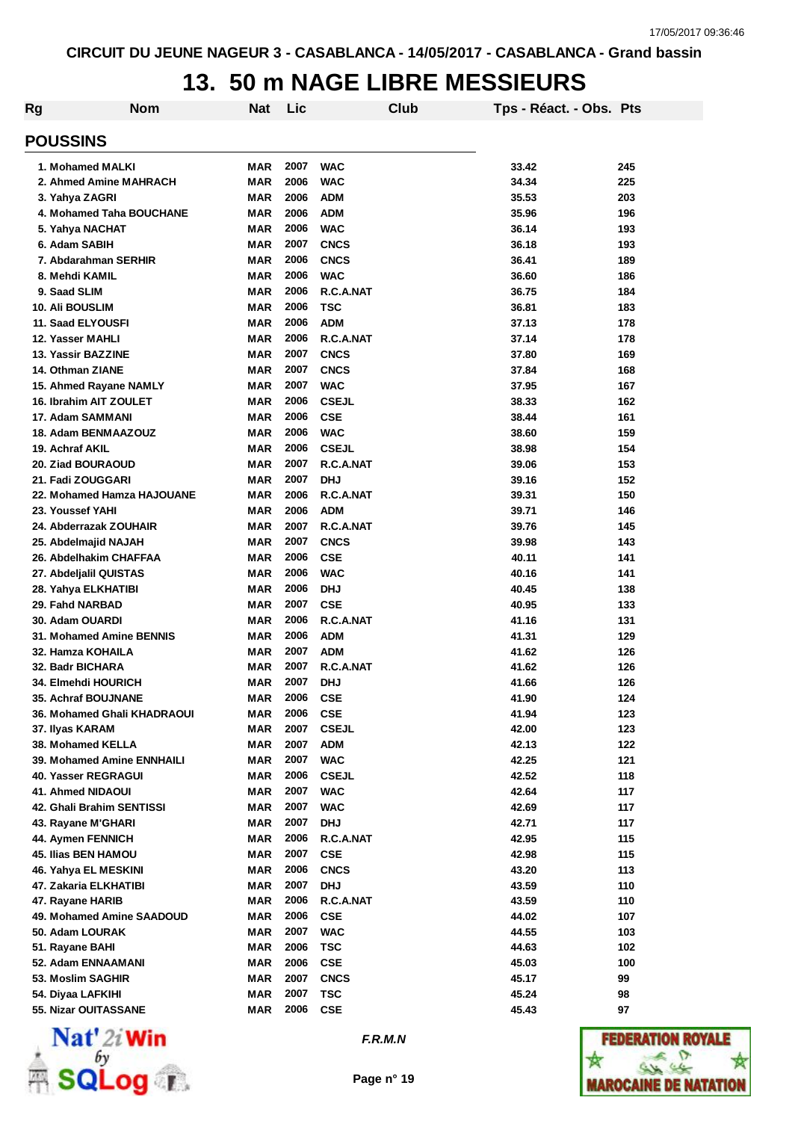## **13. 50 m NAGE LIBRE MESSIEURS**

| Rg                              | <b>Nom</b> | <b>Nat</b> | Lic  |              | Club | Tps - Réact. - Obs. Pts |     |
|---------------------------------|------------|------------|------|--------------|------|-------------------------|-----|
| <b>POUSSINS</b>                 |            |            |      |              |      |                         |     |
| 1. Mohamed MALKI                |            | <b>MAR</b> | 2007 | <b>WAC</b>   |      | 33.42                   | 245 |
| 2. Ahmed Amine MAHRACH          |            | <b>MAR</b> | 2006 | <b>WAC</b>   |      | 34.34                   | 225 |
| 3. Yahya ZAGRI                  |            | <b>MAR</b> | 2006 | <b>ADM</b>   |      | 35.53                   | 203 |
| 4. Mohamed Taha BOUCHANE        |            | MAR        | 2006 | <b>ADM</b>   |      | 35.96                   | 196 |
| 5. Yahya NACHAT                 |            | <b>MAR</b> | 2006 | <b>WAC</b>   |      | 36.14                   | 193 |
| 6. Adam SABIH                   |            | <b>MAR</b> | 2007 | <b>CNCS</b>  |      | 36.18                   | 193 |
| 7. Abdarahman SERHIR            |            | <b>MAR</b> | 2006 | <b>CNCS</b>  |      | 36.41                   | 189 |
| 8. Mehdi KAMIL                  |            | <b>MAR</b> | 2006 | <b>WAC</b>   |      | 36.60                   | 186 |
| 9. Saad SLIM                    |            | <b>MAR</b> | 2006 | R.C.A.NAT    |      | 36.75                   | 184 |
| <b>10. Ali BOUSLIM</b>          |            | <b>MAR</b> | 2006 | TSC          |      | 36.81                   | 183 |
| 11. Saad ELYOUSFI               |            | <b>MAR</b> | 2006 | <b>ADM</b>   |      | 37.13                   | 178 |
| 12. Yasser MAHLI                |            | <b>MAR</b> | 2006 | R.C.A.NAT    |      | 37.14                   | 178 |
| 13. Yassir BAZZINE              |            | <b>MAR</b> | 2007 | <b>CNCS</b>  |      | 37.80                   | 169 |
| 14. Othman ZIANE                |            | <b>MAR</b> | 2007 | <b>CNCS</b>  |      | 37.84                   | 168 |
| 15. Ahmed Rayane NAMLY          |            | <b>MAR</b> | 2007 | <b>WAC</b>   |      | 37.95                   | 167 |
| 16. Ibrahim AIT ZOULET          |            | <b>MAR</b> | 2006 | <b>CSEJL</b> |      | 38.33                   | 162 |
| 17. Adam SAMMANI                |            | <b>MAR</b> | 2006 | <b>CSE</b>   |      | 38.44                   | 161 |
| 18. Adam BENMAAZOUZ             |            | <b>MAR</b> | 2006 | <b>WAC</b>   |      | 38.60                   | 159 |
| 19. Achraf AKIL                 |            | <b>MAR</b> | 2006 | <b>CSEJL</b> |      | 38.98                   | 154 |
| 20. Ziad BOURAOUD               |            | <b>MAR</b> | 2007 | R.C.A.NAT    |      | 39.06                   | 153 |
| 21. Fadi ZOUGGARI               |            | <b>MAR</b> | 2007 | <b>DHJ</b>   |      | 39.16                   | 152 |
| 22. Mohamed Hamza HAJOUANE      |            | <b>MAR</b> | 2006 | R.C.A.NAT    |      | 39.31                   | 150 |
| 23. Youssef YAHI                |            | <b>MAR</b> | 2006 | <b>ADM</b>   |      | 39.71                   | 146 |
| 24. Abderrazak ZOUHAIR          |            | <b>MAR</b> | 2007 | R.C.A.NAT    |      | 39.76                   | 145 |
| 25. Abdelmajid NAJAH            |            | <b>MAR</b> | 2007 | <b>CNCS</b>  |      | 39.98                   | 143 |
| 26. Abdelhakim CHAFFAA          |            | <b>MAR</b> | 2006 | <b>CSE</b>   |      | 40.11                   | 141 |
| 27. Abdeljalil QUISTAS          |            | <b>MAR</b> | 2006 | <b>WAC</b>   |      | 40.16                   | 141 |
| 28. Yahya ELKHATIBI             |            | <b>MAR</b> | 2006 | <b>DHJ</b>   |      | 40.45                   | 138 |
| 29. Fahd NARBAD                 |            | <b>MAR</b> | 2007 | <b>CSE</b>   |      | 40.95                   | 133 |
| 30. Adam OUARDI                 |            | <b>MAR</b> | 2006 | R.C.A.NAT    |      | 41.16                   | 131 |
| <b>31. Mohamed Amine BENNIS</b> |            | <b>MAR</b> | 2006 | <b>ADM</b>   |      | 41.31                   | 129 |
| 32. Hamza KOHAILA               |            | <b>MAR</b> | 2007 | <b>ADM</b>   |      | 41.62                   | 126 |
| 32. Badr BICHARA                |            | <b>MAR</b> | 2007 | R.C.A.NAT    |      | 41.62                   | 126 |
| <b>34. Elmehdi HOURICH</b>      |            | <b>MAR</b> | 2007 | <b>DHJ</b>   |      | 41.66                   | 126 |
| 35. Achraf BOUJNANE             |            | <b>MAR</b> | 2006 | <b>CSE</b>   |      | 41.90                   | 124 |
| 36. Mohamed Ghali KHADRAOUI     |            | MAR        | 2006 | <b>CSE</b>   |      | 41.94                   | 123 |
| 37. Ilyas KARAM                 |            | <b>MAR</b> | 2007 | <b>CSEJL</b> |      | 42.00                   | 123 |
| 38. Mohamed KELLA               |            | <b>MAR</b> | 2007 | <b>ADM</b>   |      | 42.13                   | 122 |
| 39. Mohamed Amine ENNHAILI      |            | <b>MAR</b> | 2007 | <b>WAC</b>   |      | 42.25                   | 121 |
| 40. Yasser REGRAGUI             |            | <b>MAR</b> | 2006 | <b>CSEJL</b> |      | 42.52                   | 118 |
| 41. Ahmed NIDAOUI               |            | <b>MAR</b> | 2007 | <b>WAC</b>   |      | 42.64                   | 117 |
| 42. Ghali Brahim SENTISSI       |            | <b>MAR</b> | 2007 | <b>WAC</b>   |      | 42.69                   | 117 |
| 43. Rayane M'GHARI              |            | <b>MAR</b> | 2007 | <b>DHJ</b>   |      | 42.71                   | 117 |
| 44. Aymen FENNICH               |            | MAR        | 2006 | R.C.A.NAT    |      | 42.95                   | 115 |
| <b>45. Ilias BEN HAMOU</b>      |            | MAR        | 2007 | <b>CSE</b>   |      | 42.98                   | 115 |
| 46. Yahya EL MESKINI            |            | MAR        | 2006 | <b>CNCS</b>  |      | 43.20                   | 113 |
| 47. Zakaria ELKHATIBI           |            | <b>MAR</b> | 2007 | <b>DHJ</b>   |      | 43.59                   | 110 |
| 47. Rayane HARIB                |            | MAR        | 2006 | R.C.A.NAT    |      | 43.59                   | 110 |
| 49. Mohamed Amine SAADOUD       |            | MAR        | 2006 | <b>CSE</b>   |      | 44.02                   | 107 |
| 50. Adam LOURAK                 |            | <b>MAR</b> | 2007 | <b>WAC</b>   |      | 44.55                   | 103 |
| 51. Rayane BAHI                 |            | <b>MAR</b> | 2006 | <b>TSC</b>   |      | 44.63                   | 102 |
| 52. Adam ENNAAMANI              |            | MAR        | 2006 | <b>CSE</b>   |      | 45.03                   | 100 |
| 53. Moslim SAGHIR               |            | <b>MAR</b> | 2007 | <b>CNCS</b>  |      | 45.17                   | 99  |
| 54. Diyaa LAFKIHI               |            | MAR        | 2007 | <b>TSC</b>   |      | 45.24                   | 98  |
| 55. Nizar OUITASSANE            |            | MAR        | 2006 | <b>CSE</b>   |      | 45.43                   | 97  |



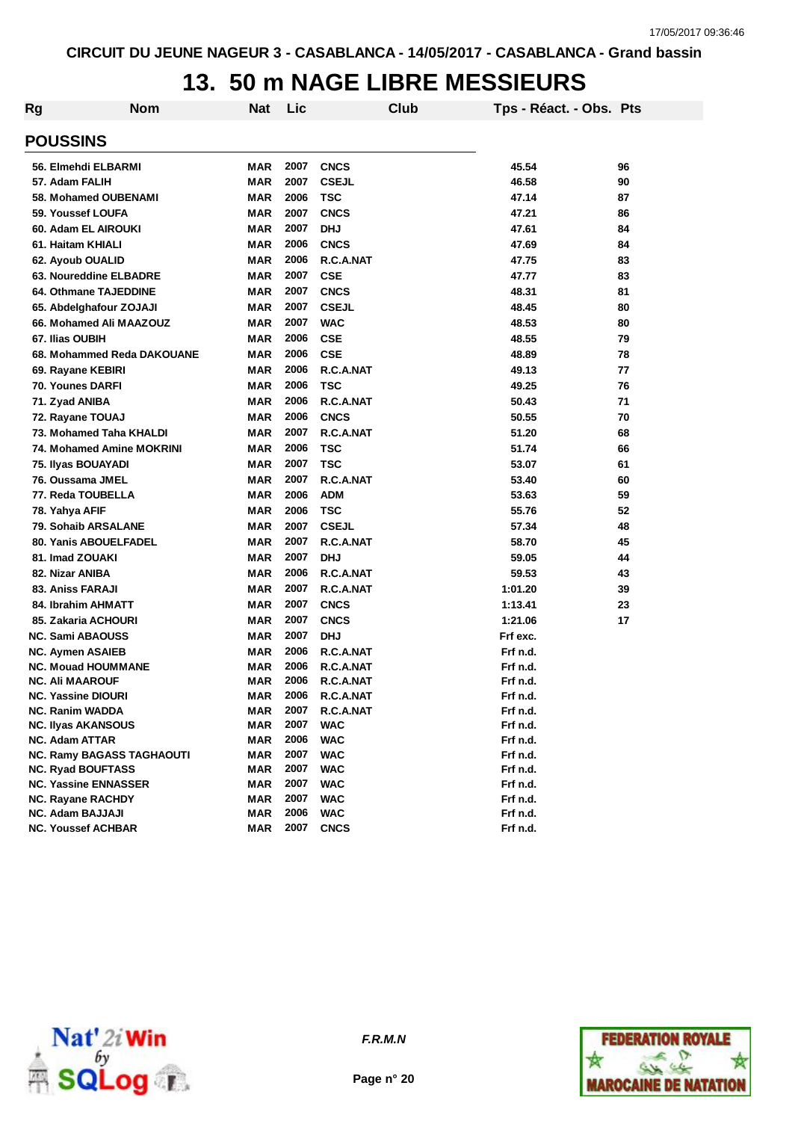# **13. 50 m NAGE LIBRE MESSIEURS**

| Rg | <b>Nom</b>                                   | <b>Nat</b> | Lic          |                        | Club | Tps - Réact. - Obs. Pts |    |
|----|----------------------------------------------|------------|--------------|------------------------|------|-------------------------|----|
|    | <b>POUSSINS</b>                              |            |              |                        |      |                         |    |
|    | 56. Elmehdi ELBARMI                          | <b>MAR</b> | 2007         | <b>CNCS</b>            |      | 45.54                   | 96 |
|    | 57. Adam FALIH                               | <b>MAR</b> | 2007         | <b>CSEJL</b>           |      | 46.58                   | 90 |
|    | 58. Mohamed OUBENAMI                         | <b>MAR</b> | 2006         | <b>TSC</b>             |      | 47.14                   | 87 |
|    | 59. Youssef LOUFA                            | <b>MAR</b> | 2007         | <b>CNCS</b>            |      | 47.21                   | 86 |
|    | 60. Adam EL AIROUKI                          | <b>MAR</b> | 2007         | <b>DHJ</b>             |      | 47.61                   | 84 |
|    | 61. Haitam KHIALI                            | <b>MAR</b> | 2006         | <b>CNCS</b>            |      | 47.69                   | 84 |
|    | 62. Ayoub OUALID                             | <b>MAR</b> | 2006         | R.C.A.NAT              |      | 47.75                   | 83 |
|    | 63. Noureddine ELBADRE                       | <b>MAR</b> | 2007         | <b>CSE</b>             |      | 47.77                   | 83 |
|    | 64. Othmane TAJEDDINE                        | MAR        | 2007         | <b>CNCS</b>            |      | 48.31                   | 81 |
|    | 65. Abdelghafour ZOJAJI                      | MAR        | 2007         | <b>CSEJL</b>           |      | 48.45                   | 80 |
|    | 66. Mohamed Ali MAAZOUZ                      | <b>MAR</b> | 2007         | <b>WAC</b>             |      | 48.53                   | 80 |
|    | 67. Ilias OUBIH                              | <b>MAR</b> | 2006         | <b>CSE</b>             |      | 48.55                   | 79 |
|    | 68. Mohammed Reda DAKOUANE                   | <b>MAR</b> | 2006         | <b>CSE</b>             |      | 48.89                   | 78 |
|    | 69. Rayane KEBIRI                            | <b>MAR</b> | 2006         | R.C.A.NAT              |      | 49.13                   | 77 |
|    | <b>70. Younes DARFI</b>                      | <b>MAR</b> | 2006         | <b>TSC</b>             |      | 49.25                   | 76 |
|    |                                              | MAR        | 2006         | R.C.A.NAT              |      | 50.43                   | 71 |
|    | 71. Zyad ANIBA<br>72. Rayane TOUAJ           | MAR        | 2006         | <b>CNCS</b>            |      | 50.55                   | 70 |
|    | 73. Mohamed Taha KHALDI                      | MAR        | 2007         | R.C.A.NAT              |      | 51.20                   | 68 |
|    | 74. Mohamed Amine MOKRINI                    | <b>MAR</b> | 2006         | <b>TSC</b>             |      | 51.74                   | 66 |
|    |                                              | <b>MAR</b> | 2007         | <b>TSC</b>             |      | 53.07                   | 61 |
|    | 75. Ilyas BOUAYADI<br>76. Oussama JMEL       | <b>MAR</b> | 2007         | R.C.A.NAT              |      |                         | 60 |
|    |                                              |            | 2006         |                        |      | 53.40                   |    |
|    | 77. Reda TOUBELLA                            | <b>MAR</b> | 2006         | <b>ADM</b>             |      | 53.63                   | 59 |
|    | 78. Yahya AFIF                               | <b>MAR</b> | 2007         | <b>TSC</b>             |      | 55.76                   | 52 |
|    | 79. Sohaib ARSALANE                          | <b>MAR</b> |              | <b>CSEJL</b>           |      | 57.34                   | 48 |
|    | 80. Yanis ABOUELFADEL                        | <b>MAR</b> | 2007         | R.C.A.NAT              |      | 58.70                   | 45 |
|    | 81. Imad ZOUAKI                              | <b>MAR</b> | 2007         | <b>DHJ</b>             |      | 59.05                   | 44 |
|    | 82. Nizar ANIBA                              | <b>MAR</b> | 2006         | R.C.A.NAT              |      | 59.53                   | 43 |
|    | 83. Aniss FARAJI                             | MAR        | 2007         | R.C.A.NAT              |      | 1:01.20                 | 39 |
|    | 84. Ibrahim AHMATT                           | <b>MAR</b> | 2007         | <b>CNCS</b>            |      | 1:13.41                 | 23 |
|    | 85. Zakaria ACHOURI                          | <b>MAR</b> | 2007         | <b>CNCS</b>            |      | 1:21.06                 | 17 |
|    | <b>NC. Sami ABAOUSS</b>                      | <b>MAR</b> | 2007         | <b>DHJ</b>             |      | Frf exc.                |    |
|    | <b>NC. Aymen ASAIEB</b>                      | <b>MAR</b> | 2006         | R.C.A.NAT              |      | Frf n.d.                |    |
|    | <b>NC. Mouad HOUMMANE</b>                    | <b>MAR</b> | 2006         | R.C.A.NAT              |      | Frf n.d.                |    |
|    | <b>NC. Ali MAAROUF</b>                       | <b>MAR</b> | 2006         | R.C.A.NAT              |      | Frf n.d.                |    |
|    | <b>NC. Yassine DIOURI</b><br>NC. Ranim WADDA | MAR<br>MAR | 2006<br>2007 | R.C.A.NAT<br>R.C.A.NAT |      | Frf n.d.<br>Frf n.d.    |    |
|    | <b>NC. Ilyas AKANSOUS</b>                    | <b>MAR</b> | 2007         | <b>WAC</b>             |      | Frf n.d.                |    |
|    | <b>NC. Adam ATTAR</b>                        | <b>MAR</b> | 2006         | <b>WAC</b>             |      | Frf n.d.                |    |
|    | <b>NC. Ramy BAGASS TAGHAOUTI</b>             | <b>MAR</b> | 2007         | <b>WAC</b>             |      | Frf n.d.                |    |
|    | <b>NC. Ryad BOUFTASS</b>                     | <b>MAR</b> | 2007         | <b>WAC</b>             |      | Frf n.d.                |    |
|    | <b>NC. Yassine ENNASSER</b>                  | <b>MAR</b> | 2007         | <b>WAC</b>             |      | Frf n.d.                |    |
|    | <b>NC. Rayane RACHDY</b>                     | <b>MAR</b> | 2007         | <b>WAC</b>             |      | Frf n.d.                |    |
|    | <b>NC. Adam BAJJAJI</b>                      | <b>MAR</b> | 2006         | <b>WAC</b>             |      | Frf n.d.                |    |
|    | <b>NC. Youssef ACHBAR</b>                    | <b>MAR</b> | 2007         | <b>CNCS</b>            |      | Frf n.d.                |    |
|    |                                              |            |              |                        |      |                         |    |



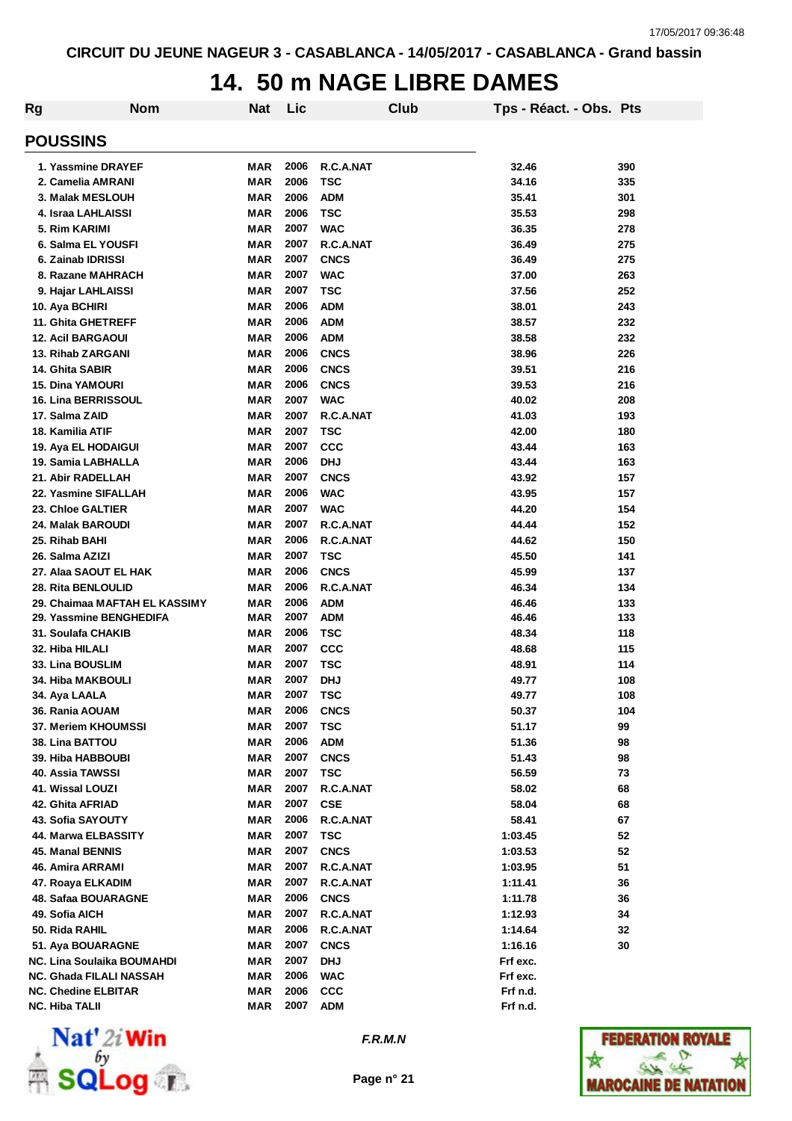### **14. 50 m NAGE LIBRE DAMES**

| Rg | <b>Nom</b>                        | <b>Nat</b> | Lic          |             | Club | Tps - Réact. - Obs. Pts |     |
|----|-----------------------------------|------------|--------------|-------------|------|-------------------------|-----|
|    | <b>POUSSINS</b>                   |            |              |             |      |                         |     |
|    | 1. Yassmine DRAYEF                | <b>MAR</b> | 2006         | R.C.A.NAT   |      | 32.46                   | 390 |
|    | 2. Camelia AMRANI                 | <b>MAR</b> | 2006         | <b>TSC</b>  |      | 34.16                   | 335 |
|    | 3. Malak MESLOUH                  | <b>MAR</b> | 2006         | <b>ADM</b>  |      | 35.41                   | 301 |
|    | 4. Israa LAHLAISSI                | <b>MAR</b> | 2006         | <b>TSC</b>  |      | 35.53                   | 298 |
|    | 5. Rim KARIMI                     | <b>MAR</b> | 2007         | <b>WAC</b>  |      | 36.35                   | 278 |
|    | 6. Salma EL YOUSFI                | <b>MAR</b> | 2007         | R.C.A.NAT   |      | 36.49                   | 275 |
|    | 6. Zainab IDRISSI                 | <b>MAR</b> | 2007         | <b>CNCS</b> |      | 36.49                   | 275 |
|    | 8. Razane MAHRACH                 | <b>MAR</b> | 2007         | <b>WAC</b>  |      | 37.00                   | 263 |
|    | 9. Hajar LAHLAISSI                | <b>MAR</b> | 2007         | <b>TSC</b>  |      | 37.56                   | 252 |
|    | 10. Aya BCHIRI                    | <b>MAR</b> | 2006         | <b>ADM</b>  |      | 38.01                   | 243 |
|    | 11. Ghita GHETREFF                | <b>MAR</b> | 2006         | <b>ADM</b>  |      | 38.57                   | 232 |
|    | <b>12. Acil BARGAOUI</b>          | <b>MAR</b> | 2006         | <b>ADM</b>  |      | 38.58                   | 232 |
|    | 13. Rihab ZARGANI                 | <b>MAR</b> | 2006         | <b>CNCS</b> |      | 38.96                   | 226 |
|    | 14. Ghita SABIR                   | MAR        | 2006         | <b>CNCS</b> |      | 39.51                   | 216 |
|    | <b>15. Dina YAMOURI</b>           | <b>MAR</b> | 2006         | <b>CNCS</b> |      | 39.53                   | 216 |
|    | 16. Lina BERRISSOUL               | <b>MAR</b> | 2007         | <b>WAC</b>  |      | 40.02                   | 208 |
|    | 17. Salma ZAID                    | <b>MAR</b> | 2007         | R.C.A.NAT   |      | 41.03                   | 193 |
|    | 18. Kamilia ATIF                  | <b>MAR</b> | 2007         | <b>TSC</b>  |      | 42.00                   | 180 |
|    | 19. Aya EL HODAIGUI               | <b>MAR</b> | 2007         | <b>CCC</b>  |      | 43.44                   | 163 |
|    | 19. Samia LABHALLA                | <b>MAR</b> | 2006         | <b>DHJ</b>  |      | 43.44                   | 163 |
|    | 21. Abir RADELLAH                 | <b>MAR</b> | 2007         | <b>CNCS</b> |      | 43.92                   | 157 |
|    | 22. Yasmine SIFALLAH              | <b>MAR</b> | 2006         | <b>WAC</b>  |      | 43.95                   | 157 |
|    | <b>23. Chioe GALTIER</b>          | <b>MAR</b> | 2007         | <b>WAC</b>  |      | 44.20                   | 154 |
|    |                                   | <b>MAR</b> | 2007         | R.C.A.NAT   |      | 44.44                   | 152 |
|    | 24. Malak BAROUDI                 | <b>MAR</b> | 2006         | R.C.A.NAT   |      | 44.62                   | 150 |
|    | 25. Rihab BAHI                    |            |              |             |      |                         |     |
|    | 26. Salma AZIZI                   | <b>MAR</b> | 2007         | <b>TSC</b>  |      | 45.50                   | 141 |
|    | 27. Alaa SAOUT EL HAK             | <b>MAR</b> | 2006         | <b>CNCS</b> |      | 45.99                   | 137 |
|    | 28. Rita BENLOULID                | <b>MAR</b> | 2006         | R.C.A.NAT   |      | 46.34                   | 134 |
|    | 29. Chaimaa MAFTAH EL KASSIMY     | <b>MAR</b> | 2006<br>2007 | <b>ADM</b>  |      | 46.46                   | 133 |
|    | 29. Yassmine BENGHEDIFA           | <b>MAR</b> | 2006         | <b>ADM</b>  |      | 46.46                   | 133 |
|    | 31. Soulafa CHAKIB                | <b>MAR</b> |              | <b>TSC</b>  |      | 48.34                   | 118 |
|    | 32. Hiba HILALI                   | MAR        | 2007         | <b>CCC</b>  |      | 48.68                   | 115 |
|    | <b>33. Lina BOUSLIM</b>           | MAR        | 2007         | <b>TSC</b>  |      | 48.91                   | 114 |
|    | 34. Hiba MAKBOULI                 | MAR        | 2007         | <b>DHJ</b>  |      | 49.77                   | 108 |
|    | 34. Aya LAALA                     | <b>MAR</b> | 2007         | <b>TSC</b>  |      | 49.77                   | 108 |
|    | 36. Rania AOUAM                   | <b>MAR</b> | 2006         | CNCS        |      | 50.37                   | 104 |
|    | 37. Meriem KHOUMSSI               | <b>MAR</b> | 2007<br>2006 | <b>TSC</b>  |      | 51.17                   | 99  |
|    | <b>38. Lina BATTOU</b>            | <b>MAR</b> |              | <b>ADM</b>  |      | 51.36                   | 98  |
|    | 39. Hiba HABBOUBI                 | <b>MAR</b> | 2007         | <b>CNCS</b> |      | 51.43                   | 98  |
|    | 40. Assia TAWSSI                  | <b>MAR</b> | 2007         | <b>TSC</b>  |      | 56.59                   | 73  |
|    | 41. Wissal LOUZI                  | <b>MAR</b> | 2007         | R.C.A.NAT   |      | 58.02                   | 68  |
|    | 42. Ghita AFRIAD                  | <b>MAR</b> | 2007         | <b>CSE</b>  |      | 58.04                   | 68  |
|    | 43. Sofia SAYOUTY                 | MAR        | 2006         | R.C.A.NAT   |      | 58.41                   | 67  |
|    | 44. Marwa ELBASSITY               | <b>MAR</b> | 2007         | <b>TSC</b>  |      | 1:03.45                 | 52  |
|    | 45. Manal BENNIS                  | <b>MAR</b> | 2007         | <b>CNCS</b> |      | 1:03.53                 | 52  |
|    | 46. Amira ARRAMI                  | <b>MAR</b> | 2007         | R.C.A.NAT   |      | 1:03.95                 | 51  |
|    | 47. Roaya ELKADIM                 | <b>MAR</b> | 2007         | R.C.A.NAT   |      | 1:11.41                 | 36  |
|    | 48. Safaa BOUARAGNE               | <b>MAR</b> | 2006         | <b>CNCS</b> |      | 1:11.78                 | 36  |
|    | 49. Sofia AICH                    | <b>MAR</b> | 2007         | R.C.A.NAT   |      | 1:12.93                 | 34  |
|    | 50. Rida RAHIL                    | <b>MAR</b> | 2006         | R.C.A.NAT   |      | 1:14.64                 | 32  |
|    | 51. Aya BOUARAGNE                 | <b>MAR</b> | 2007         | <b>CNCS</b> |      | 1:16.16                 | 30  |
|    | <b>NC. Lina Soulaika BOUMAHDI</b> | <b>MAR</b> | 2007         | <b>DHJ</b>  |      | Frf exc.                |     |
|    | NC. Ghada FILALI NASSAH           | <b>MAR</b> | 2006         | <b>WAC</b>  |      | Frf exc.                |     |
|    | <b>NC. Chedine ELBITAR</b>        | <b>MAR</b> | 2006         | <b>CCC</b>  |      | Frf n.d.                |     |
|    | <b>NC. Hiba TALII</b>             | <b>MAR</b> | 2007         | ADM         |      | Frf n.d.                |     |



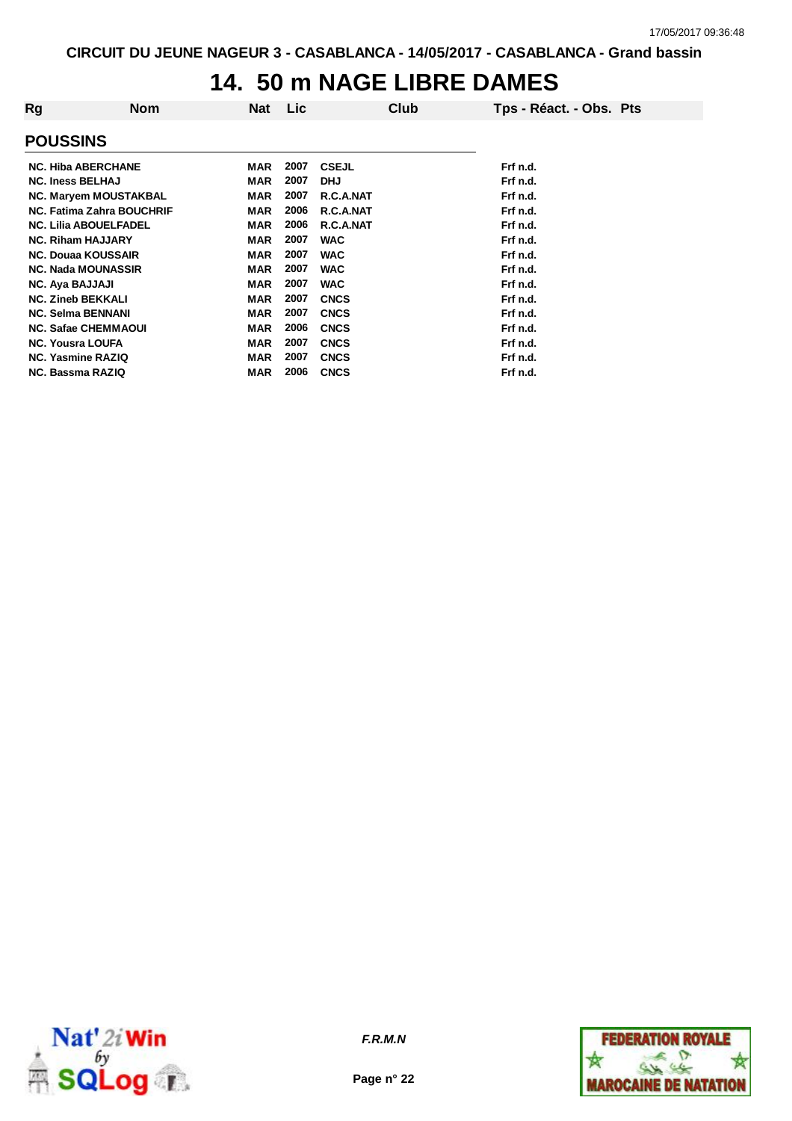### **14. 50 m NAGE LIBRE DAMES**

| Rg                                                       | <b>Nom</b> | Nat                      | <b>Lic</b>   |                            | Club | Tps - Réact. - Obs. Pts |
|----------------------------------------------------------|------------|--------------------------|--------------|----------------------------|------|-------------------------|
| <b>POUSSINS</b>                                          |            |                          |              |                            |      |                         |
| <b>NC. Hiba ABERCHANE</b>                                |            | MAR                      | 2007         | <b>CSEJL</b>               |      | Frf n.d.                |
| <b>NC. Iness BELHAJ</b><br><b>NC. Maryem MOUSTAKBAL</b>  |            | <b>MAR</b><br><b>MAR</b> | 2007<br>2007 | <b>DHJ</b><br>R.C.A.NAT    |      | Frf n.d.<br>Frf n.d.    |
| <b>NC. Fatima Zahra BOUCHRIF</b>                         |            | <b>MAR</b>               | 2006         | R.C.A.NAT                  |      | Frf n.d.                |
| <b>NC. Lilia ABOUELFADEL</b><br><b>NC. Riham HAJJARY</b> |            | <b>MAR</b><br><b>MAR</b> | 2006<br>2007 | R.C.A.NAT<br><b>WAC</b>    |      | Frf n.d.<br>Frf n.d.    |
| <b>NC. Douaa KOUSSAIR</b>                                |            | <b>MAR</b>               | 2007         | <b>WAC</b>                 |      | Frf n.d.                |
| <b>NC. Nada MOUNASSIR</b>                                |            | <b>MAR</b>               | 2007         | <b>WAC</b>                 |      | Frf n.d.                |
| <b>NC. Aya BAJJAJI</b><br><b>NC. Zineb BEKKALI</b>       |            | <b>MAR</b><br><b>MAR</b> | 2007<br>2007 | <b>WAC</b><br><b>CNCS</b>  |      | Frf n.d.<br>Frf n.d.    |
| <b>NC. Selma BENNANI</b>                                 |            | <b>MAR</b>               | 2007         | <b>CNCS</b>                |      | Frf n.d.                |
| <b>NC. Safae CHEMMAOUI</b><br><b>NC. Yousra LOUFA</b>    |            | <b>MAR</b><br><b>MAR</b> | 2006<br>2007 | <b>CNCS</b><br><b>CNCS</b> |      | Frf n.d.<br>Frf n.d.    |
| <b>NC. Yasmine RAZIQ</b>                                 |            | <b>MAR</b>               | 2007         | <b>CNCS</b>                |      | Frf n.d.                |
| <b>NC. Bassma RAZIQ</b>                                  |            | <b>MAR</b>               | 2006         | <b>CNCS</b>                |      | Frf n.d.                |



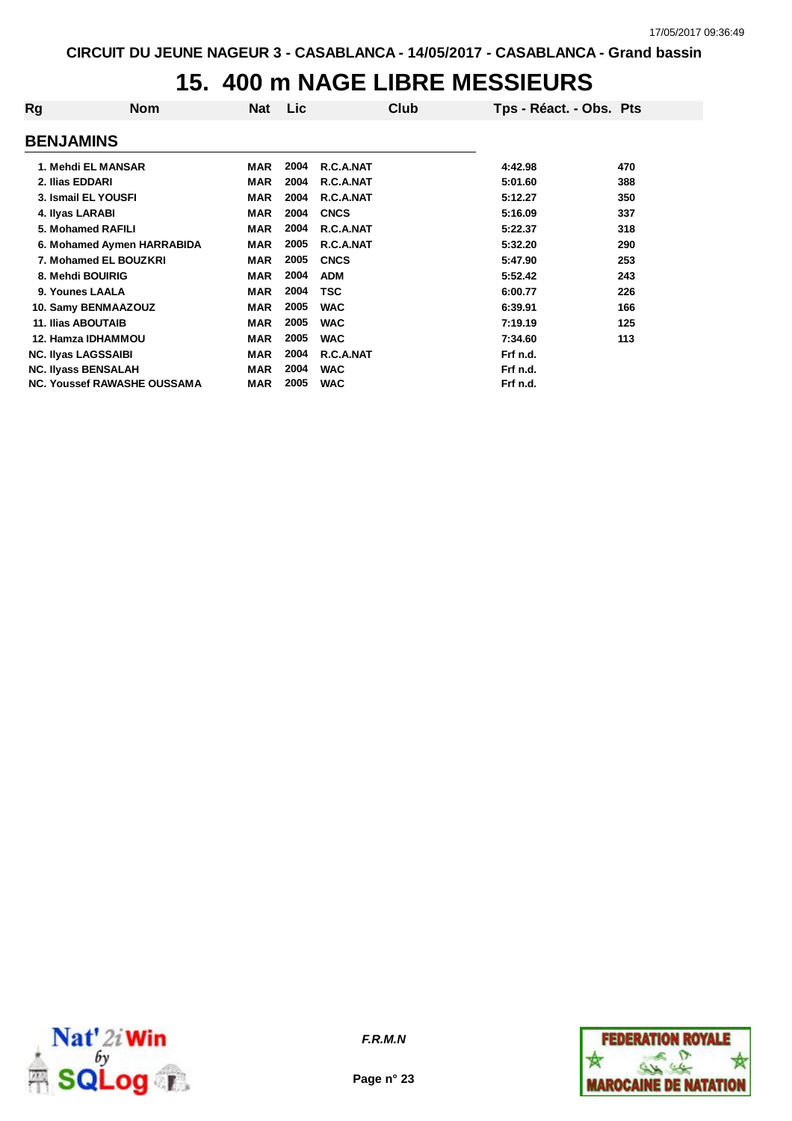### **15. 400 m NAGE LIBRE MESSIEURS**

| Rg                                 | <b>Nom</b> | <b>Nat</b> | <b>Lic</b> | Club        | Tps - Réact. - Obs. Pts |     |
|------------------------------------|------------|------------|------------|-------------|-------------------------|-----|
| <b>BENJAMINS</b>                   |            |            |            |             |                         |     |
| 1. Mehdi EL MANSAR                 |            | <b>MAR</b> | 2004       | R.C.A.NAT   | 4:42.98                 | 470 |
| 2. Ilias EDDARI                    |            | <b>MAR</b> | 2004       | R.C.A.NAT   | 5:01.60                 | 388 |
| 3. Ismail EL YOUSFI                |            | <b>MAR</b> | 2004       | R.C.A.NAT   | 5:12.27                 | 350 |
| 4. Ilyas LARABI                    |            | <b>MAR</b> | 2004       | <b>CNCS</b> | 5:16.09                 | 337 |
| 5. Mohamed RAFILI                  |            | <b>MAR</b> | 2004       | R.C.A.NAT   | 5:22.37                 | 318 |
| 6. Mohamed Aymen HARRABIDA         |            | <b>MAR</b> | 2005       | R.C.A.NAT   | 5:32.20                 | 290 |
| 7. Mohamed EL BOUZKRI              |            | <b>MAR</b> | 2005       | <b>CNCS</b> | 5:47.90                 | 253 |
| 8. Mehdi BOUIRIG                   |            | <b>MAR</b> | 2004       | <b>ADM</b>  | 5:52.42                 | 243 |
| 9. Younes LAALA                    |            | <b>MAR</b> | 2004       | <b>TSC</b>  | 6:00.77                 | 226 |
| 10. Samy BENMAAZOUZ                |            | <b>MAR</b> | 2005       | <b>WAC</b>  | 6:39.91                 | 166 |
| <b>11. Ilias ABOUTAIB</b>          |            | <b>MAR</b> | 2005       | <b>WAC</b>  | 7:19.19                 | 125 |
| <b>12. Hamza IDHAMMOU</b>          |            | <b>MAR</b> | 2005       | <b>WAC</b>  | 7:34.60                 | 113 |
| <b>NC. Ilyas LAGSSAIBI</b>         |            | <b>MAR</b> | 2004       | R.C.A.NAT   | Frf n.d.                |     |
| <b>NC. Ilyass BENSALAH</b>         |            | <b>MAR</b> | 2004       | <b>WAC</b>  | Frf n.d.                |     |
| <b>NC. Youssef RAWASHE OUSSAMA</b> |            | <b>MAR</b> | 2005       | <b>WAC</b>  | Frf n.d.                |     |